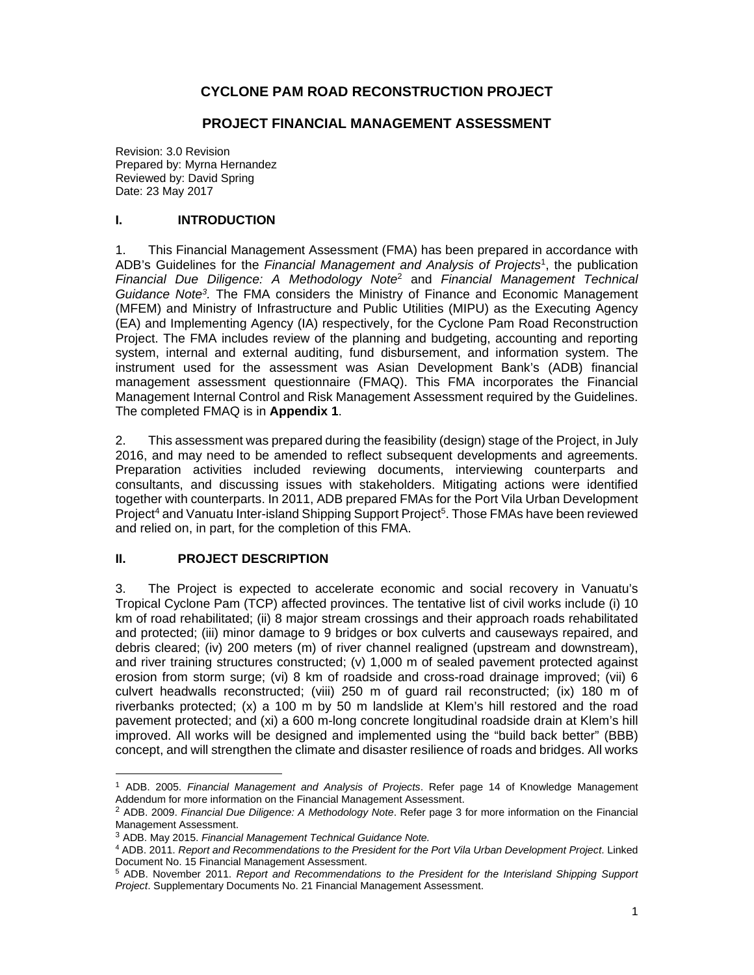# **CYCLONE PAM ROAD RECONSTRUCTION PROJECT**

#### **PROJECT FINANCIAL MANAGEMENT ASSESSMENT**

Revision: 3.0 Revision Prepared by: Myrna Hernandez Reviewed by: David Spring Date: 23 May 2017

### **I. INTRODUCTION**

1. This Financial Management Assessment (FMA) has been prepared in accordance with ADB's Guidelines for the Financial Management and Analysis of Projects<sup>1</sup>, the publication *Financial Due Diligence: A Methodology Note*<sup>2</sup> and *Financial Management Technical Guidance Note3.* The FMA considers the Ministry of Finance and Economic Management (MFEM) and Ministry of Infrastructure and Public Utilities (MIPU) as the Executing Agency (EA) and Implementing Agency (IA) respectively, for the Cyclone Pam Road Reconstruction Project. The FMA includes review of the planning and budgeting, accounting and reporting system, internal and external auditing, fund disbursement, and information system. The instrument used for the assessment was Asian Development Bank's (ADB) financial management assessment questionnaire (FMAQ). This FMA incorporates the Financial Management Internal Control and Risk Management Assessment required by the Guidelines. The completed FMAQ is in **Appendix 1**.

2. This assessment was prepared during the feasibility (design) stage of the Project, in July 2016, and may need to be amended to reflect subsequent developments and agreements. Preparation activities included reviewing documents, interviewing counterparts and consultants, and discussing issues with stakeholders. Mitigating actions were identified together with counterparts. In 2011, ADB prepared FMAs for the Port Vila Urban Development Project<sup>4</sup> and Vanuatu Inter-island Shipping Support Project<sup>5</sup>. Those FMAs have been reviewed and relied on, in part, for the completion of this FMA.

## **II. PROJECT DESCRIPTION**

3. The Project is expected to accelerate economic and social recovery in Vanuatu's Tropical Cyclone Pam (TCP) affected provinces. The tentative list of civil works include (i) 10 km of road rehabilitated; (ii) 8 major stream crossings and their approach roads rehabilitated and protected; (iii) minor damage to 9 bridges or box culverts and causeways repaired, and debris cleared; (iv) 200 meters (m) of river channel realigned (upstream and downstream), and river training structures constructed; (v) 1,000 m of sealed pavement protected against erosion from storm surge; (vi) 8 km of roadside and cross-road drainage improved; (vii) 6 culvert headwalls reconstructed; (viii) 250 m of guard rail reconstructed; (ix) 180 m of riverbanks protected; (x) a 100 m by 50 m landslide at Klem's hill restored and the road pavement protected; and (xi) a 600 m-long concrete longitudinal roadside drain at Klem's hill improved. All works will be designed and implemented using the "build back better" (BBB) concept, and will strengthen the climate and disaster resilience of roads and bridges. All works

<sup>1</sup> ADB. 2005. *Financial Management and Analysis of Projects*. Refer page 14 of Knowledge Management Addendum for more information on the Financial Management Assessment.

<sup>2</sup> ADB. 2009. *Financial Due Diligence: A Methodology Note*. Refer page 3 for more information on the Financial Management Assessment.

<sup>3</sup> ADB. May 2015. *Financial Management Technical Guidance Note.* 

<sup>4</sup> ADB. 2011. *Report and Recommendations to the President for the Port Vila Urban Development Project*. Linked Document No. 15 Financial Management Assessment.

<sup>5</sup> ADB. November 2011. *Report and Recommendations to the President for the Interisland Shipping Support Project*. Supplementary Documents No. 21 Financial Management Assessment.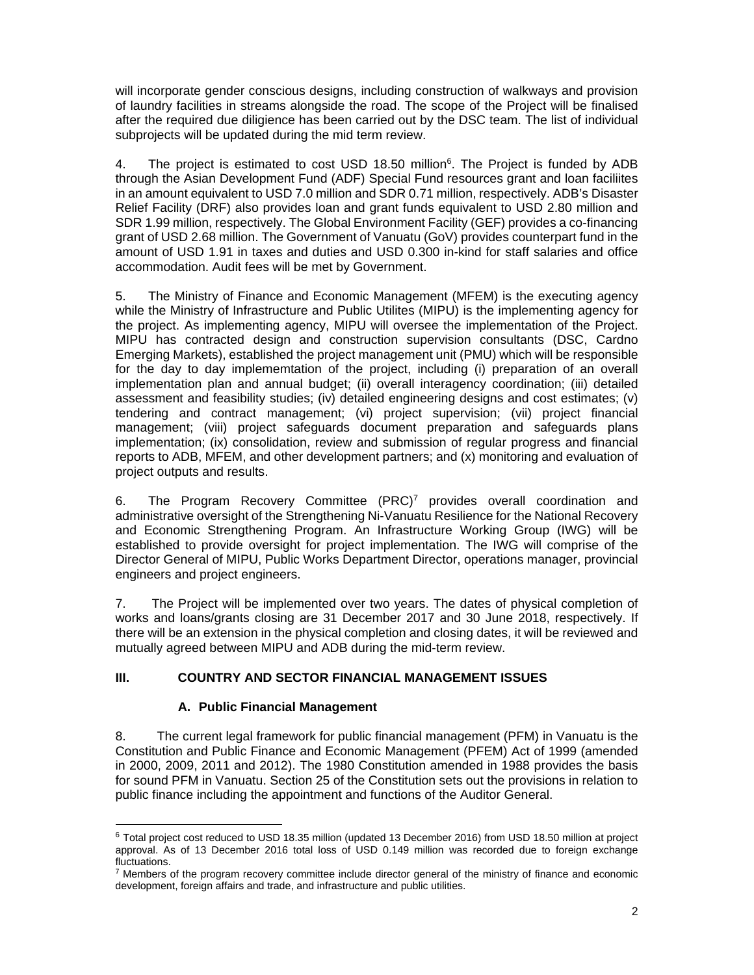will incorporate gender conscious designs, including construction of walkways and provision of laundry facilities in streams alongside the road. The scope of the Project will be finalised after the required due diligience has been carried out by the DSC team. The list of individual subprojects will be updated during the mid term review.

4. The project is estimated to cost USD 18.50 million<sup>6</sup>. The Project is funded by ADB through the Asian Development Fund (ADF) Special Fund resources grant and loan faciliites in an amount equivalent to USD 7.0 million and SDR 0.71 million, respectively. ADB's Disaster Relief Facility (DRF) also provides loan and grant funds equivalent to USD 2.80 million and SDR 1.99 million, respectively. The Global Environment Facility (GEF) provides a co-financing grant of USD 2.68 million. The Government of Vanuatu (GoV) provides counterpart fund in the amount of USD 1.91 in taxes and duties and USD 0.300 in-kind for staff salaries and office accommodation. Audit fees will be met by Government.

5. The Ministry of Finance and Economic Management (MFEM) is the executing agency while the Ministry of Infrastructure and Public Utilites (MIPU) is the implementing agency for the project. As implementing agency, MIPU will oversee the implementation of the Project. MIPU has contracted design and construction supervision consultants (DSC, Cardno Emerging Markets), established the project management unit (PMU) which will be responsible for the day to day implememtation of the project, including (i) preparation of an overall implementation plan and annual budget; (ii) overall interagency coordination; (iii) detailed assessment and feasibility studies; (iv) detailed engineering designs and cost estimates; (v) tendering and contract management; (vi) project supervision; (vii) project financial management; (viii) project safeguards document preparation and safeguards plans implementation; (ix) consolidation, review and submission of regular progress and financial reports to ADB, MFEM, and other development partners; and (x) monitoring and evaluation of project outputs and results.

6. The Program Recovery Committee (PRC)<sup>7</sup> provides overall coordination and administrative oversight of the Strengthening Ni-Vanuatu Resilience for the National Recovery and Economic Strengthening Program. An Infrastructure Working Group (IWG) will be established to provide oversight for project implementation. The IWG will comprise of the Director General of MIPU, Public Works Department Director, operations manager, provincial engineers and project engineers.

7. The Project will be implemented over two years. The dates of physical completion of works and loans/grants closing are 31 December 2017 and 30 June 2018, respectively. If there will be an extension in the physical completion and closing dates, it will be reviewed and mutually agreed between MIPU and ADB during the mid-term review.

# **III. COUNTRY AND SECTOR FINANCIAL MANAGEMENT ISSUES**

## **A. Public Financial Management**

8. The current legal framework for public financial management (PFM) in Vanuatu is the Constitution and Public Finance and Economic Management (PFEM) Act of 1999 (amended in 2000, 2009, 2011 and 2012). The 1980 Constitution amended in 1988 provides the basis for sound PFM in Vanuatu. Section 25 of the Constitution sets out the provisions in relation to public finance including the appointment and functions of the Auditor General.

<sup>6</sup> Total project cost reduced to USD 18.35 million (updated 13 December 2016) from USD 18.50 million at project approval. As of 13 December 2016 total loss of USD 0.149 million was recorded due to foreign exchange fluctuations.

 $7$  Members of the program recovery committee include director general of the ministry of finance and economic development, foreign affairs and trade, and infrastructure and public utilities.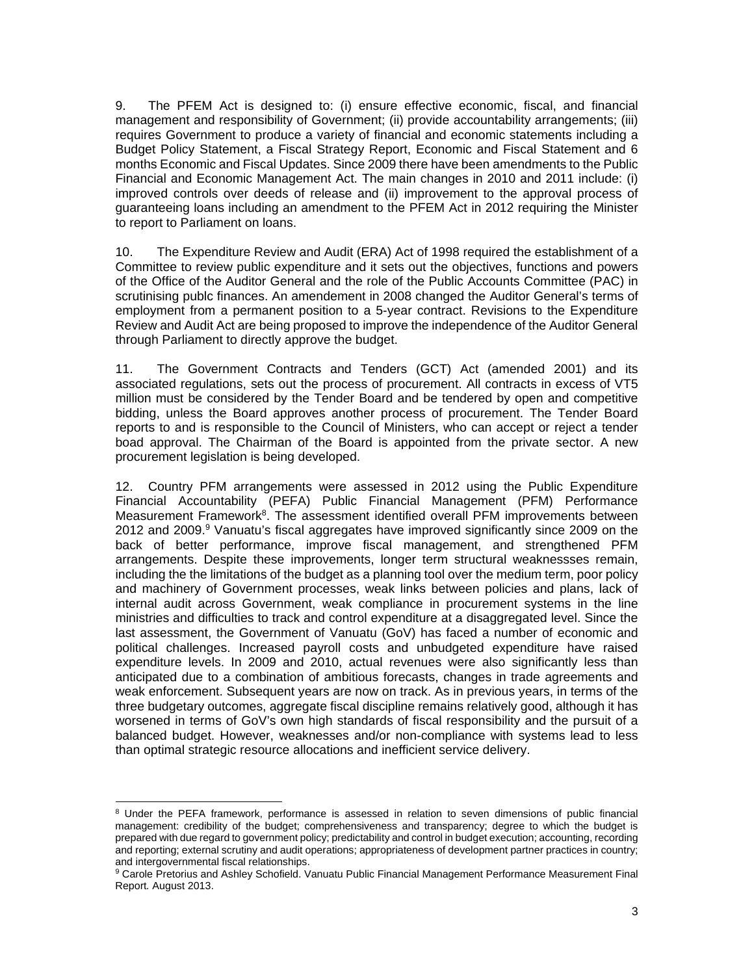9. The PFEM Act is designed to: (i) ensure effective economic, fiscal, and financial management and responsibility of Government; (ii) provide accountability arrangements; (iii) requires Government to produce a variety of financial and economic statements including a Budget Policy Statement, a Fiscal Strategy Report, Economic and Fiscal Statement and 6 months Economic and Fiscal Updates. Since 2009 there have been amendments to the Public Financial and Economic Management Act. The main changes in 2010 and 2011 include: (i) improved controls over deeds of release and (ii) improvement to the approval process of guaranteeing loans including an amendment to the PFEM Act in 2012 requiring the Minister to report to Parliament on loans.

10. The Expenditure Review and Audit (ERA) Act of 1998 required the establishment of a Committee to review public expenditure and it sets out the objectives, functions and powers of the Office of the Auditor General and the role of the Public Accounts Committee (PAC) in scrutinising publc finances. An amendement in 2008 changed the Auditor General's terms of employment from a permanent position to a 5-year contract. Revisions to the Expenditure Review and Audit Act are being proposed to improve the independence of the Auditor General through Parliament to directly approve the budget.

11. The Government Contracts and Tenders (GCT) Act (amended 2001) and its associated regulations, sets out the process of procurement. All contracts in excess of VT5 million must be considered by the Tender Board and be tendered by open and competitive bidding, unless the Board approves another process of procurement. The Tender Board reports to and is responsible to the Council of Ministers, who can accept or reject a tender boad approval. The Chairman of the Board is appointed from the private sector. A new procurement legislation is being developed.

12. Country PFM arrangements were assessed in 2012 using the Public Expenditure Financial Accountability (PEFA) Public Financial Management (PFM) Performance Measurement Framework<sup>8</sup>. The assessment identified overall PFM improvements between 2012 and 2009.<sup>9</sup> Vanuatu's fiscal aggregates have improved significantly since 2009 on the back of better performance, improve fiscal management, and strengthened PFM arrangements. Despite these improvements, longer term structural weaknessses remain, including the the limitations of the budget as a planning tool over the medium term, poor policy and machinery of Government processes, weak links between policies and plans, lack of internal audit across Government, weak compliance in procurement systems in the line ministries and difficulties to track and control expenditure at a disaggregated level. Since the last assessment, the Government of Vanuatu (GoV) has faced a number of economic and political challenges. Increased payroll costs and unbudgeted expenditure have raised expenditure levels. In 2009 and 2010, actual revenues were also significantly less than anticipated due to a combination of ambitious forecasts, changes in trade agreements and weak enforcement. Subsequent years are now on track. As in previous years, in terms of the three budgetary outcomes, aggregate fiscal discipline remains relatively good, although it has worsened in terms of GoV's own high standards of fiscal responsibility and the pursuit of a balanced budget. However, weaknesses and/or non-compliance with systems lead to less than optimal strategic resource allocations and inefficient service delivery.

 <sup>8</sup> Under the PEFA framework, performance is assessed in relation to seven dimensions of public financial management: credibility of the budget; comprehensiveness and transparency; degree to which the budget is prepared with due regard to government policy; predictability and control in budget execution; accounting, recording and reporting; external scrutiny and audit operations; appropriateness of development partner practices in country; and intergovernmental fiscal relationships.

<sup>9</sup> Carole Pretorius and Ashley Schofield. Vanuatu Public Financial Management Performance Measurement Final Report*.* August 2013.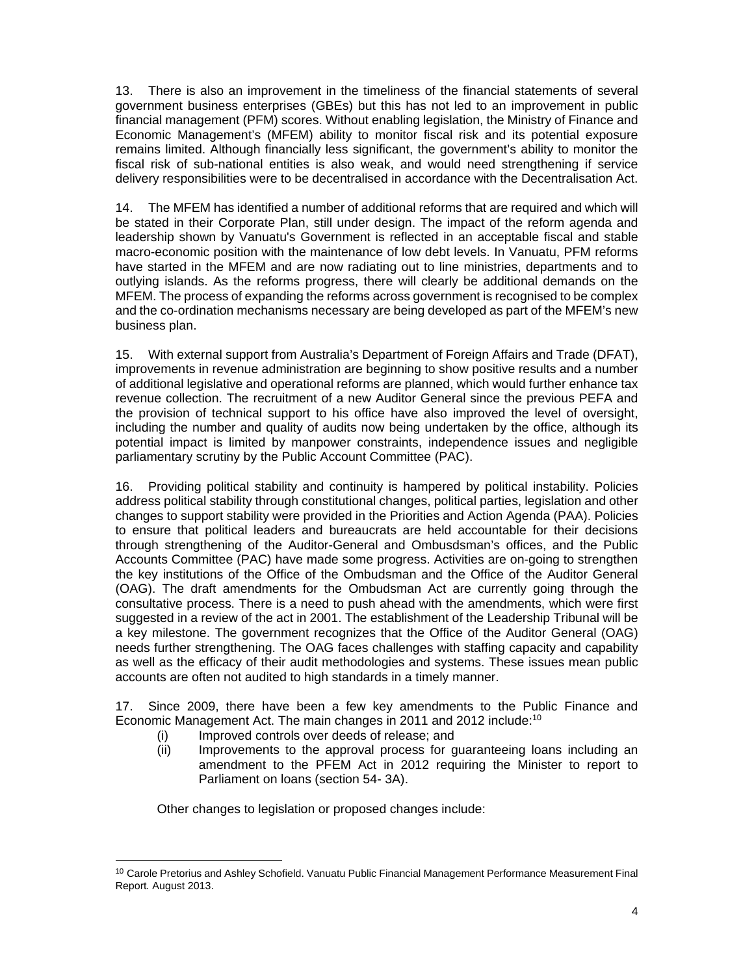13. There is also an improvement in the timeliness of the financial statements of several government business enterprises (GBEs) but this has not led to an improvement in public financial management (PFM) scores. Without enabling legislation, the Ministry of Finance and Economic Management's (MFEM) ability to monitor fiscal risk and its potential exposure remains limited. Although financially less significant, the government's ability to monitor the fiscal risk of sub-national entities is also weak, and would need strengthening if service delivery responsibilities were to be decentralised in accordance with the Decentralisation Act.

14. The MFEM has identified a number of additional reforms that are required and which will be stated in their Corporate Plan, still under design. The impact of the reform agenda and leadership shown by Vanuatu's Government is reflected in an acceptable fiscal and stable macro-economic position with the maintenance of low debt levels. In Vanuatu, PFM reforms have started in the MFEM and are now radiating out to line ministries, departments and to outlying islands. As the reforms progress, there will clearly be additional demands on the MFEM. The process of expanding the reforms across government is recognised to be complex and the co-ordination mechanisms necessary are being developed as part of the MFEM's new business plan.

15. With external support from Australia's Department of Foreign Affairs and Trade (DFAT), improvements in revenue administration are beginning to show positive results and a number of additional legislative and operational reforms are planned, which would further enhance tax revenue collection. The recruitment of a new Auditor General since the previous PEFA and the provision of technical support to his office have also improved the level of oversight, including the number and quality of audits now being undertaken by the office, although its potential impact is limited by manpower constraints, independence issues and negligible parliamentary scrutiny by the Public Account Committee (PAC).

16. Providing political stability and continuity is hampered by political instability. Policies address political stability through constitutional changes, political parties, legislation and other changes to support stability were provided in the Priorities and Action Agenda (PAA). Policies to ensure that political leaders and bureaucrats are held accountable for their decisions through strengthening of the Auditor-General and Ombusdsman's offices, and the Public Accounts Committee (PAC) have made some progress. Activities are on-going to strengthen the key institutions of the Office of the Ombudsman and the Office of the Auditor General (OAG). The draft amendments for the Ombudsman Act are currently going through the consultative process. There is a need to push ahead with the amendments, which were first suggested in a review of the act in 2001. The establishment of the Leadership Tribunal will be a key milestone. The government recognizes that the Office of the Auditor General (OAG) needs further strengthening. The OAG faces challenges with staffing capacity and capability as well as the efficacy of their audit methodologies and systems. These issues mean public accounts are often not audited to high standards in a timely manner.

17. Since 2009, there have been a few key amendments to the Public Finance and Economic Management Act. The main changes in 2011 and 2012 include:<sup>10</sup>

- (i) Improved controls over deeds of release; and
- (ii) Improvements to the approval process for guaranteeing loans including an amendment to the PFEM Act in 2012 requiring the Minister to report to Parliament on loans (section 54- 3A).

Other changes to legislation or proposed changes include:

 <sup>10</sup> Carole Pretorius and Ashley Schofield. Vanuatu Public Financial Management Performance Measurement Final Report*.* August 2013.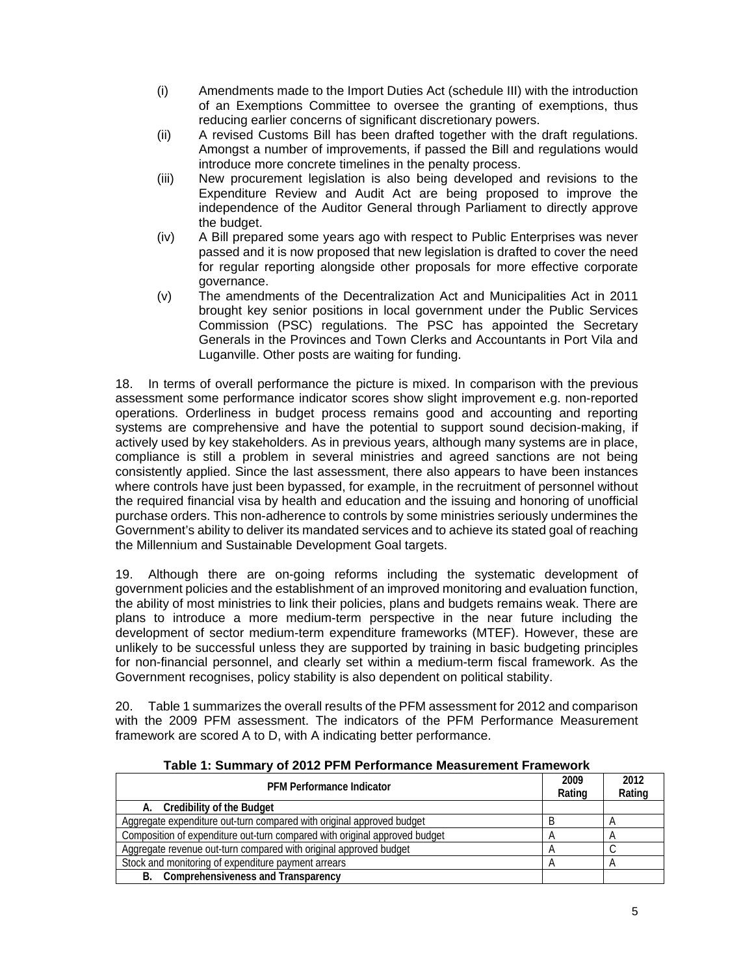- (i) Amendments made to the Import Duties Act (schedule III) with the introduction of an Exemptions Committee to oversee the granting of exemptions, thus reducing earlier concerns of significant discretionary powers.
- (ii) A revised Customs Bill has been drafted together with the draft regulations. Amongst a number of improvements, if passed the Bill and regulations would introduce more concrete timelines in the penalty process.
- (iii) New procurement legislation is also being developed and revisions to the Expenditure Review and Audit Act are being proposed to improve the independence of the Auditor General through Parliament to directly approve the budget.
- (iv) A Bill prepared some years ago with respect to Public Enterprises was never passed and it is now proposed that new legislation is drafted to cover the need for regular reporting alongside other proposals for more effective corporate governance.
- (v) The amendments of the Decentralization Act and Municipalities Act in 2011 brought key senior positions in local government under the Public Services Commission (PSC) regulations. The PSC has appointed the Secretary Generals in the Provinces and Town Clerks and Accountants in Port Vila and Luganville. Other posts are waiting for funding.

18. In terms of overall performance the picture is mixed. In comparison with the previous assessment some performance indicator scores show slight improvement e.g. non-reported operations. Orderliness in budget process remains good and accounting and reporting systems are comprehensive and have the potential to support sound decision-making, if actively used by key stakeholders. As in previous years, although many systems are in place, compliance is still a problem in several ministries and agreed sanctions are not being consistently applied. Since the last assessment, there also appears to have been instances where controls have just been bypassed, for example, in the recruitment of personnel without the required financial visa by health and education and the issuing and honoring of unofficial purchase orders. This non-adherence to controls by some ministries seriously undermines the Government's ability to deliver its mandated services and to achieve its stated goal of reaching the Millennium and Sustainable Development Goal targets.

19. Although there are on-going reforms including the systematic development of government policies and the establishment of an improved monitoring and evaluation function, the ability of most ministries to link their policies, plans and budgets remains weak. There are plans to introduce a more medium-term perspective in the near future including the development of sector medium-term expenditure frameworks (MTEF). However, these are unlikely to be successful unless they are supported by training in basic budgeting principles for non-financial personnel, and clearly set within a medium-term fiscal framework. As the Government recognises, policy stability is also dependent on political stability.

20. Table 1 summarizes the overall results of the PFM assessment for 2012 and comparison with the 2009 PFM assessment. The indicators of the PFM Performance Measurement framework are scored A to D, with A indicating better performance.

| <b>PFM Performance Indicator</b>                                           | 2009<br>Rating | 2012<br>Rating |
|----------------------------------------------------------------------------|----------------|----------------|
| Credibility of the Budget<br>А.                                            |                |                |
| Aggregate expenditure out-turn compared with original approved budget      |                |                |
| Composition of expenditure out-turn compared with original approved budget |                |                |
| Aggregate revenue out-turn compared with original approved budget          |                |                |
| Stock and monitoring of expenditure payment arrears                        |                |                |
| <b>Comprehensiveness and Transparency</b><br>В.                            |                |                |

**Table 1: Summary of 2012 PFM Performance Measurement Framework**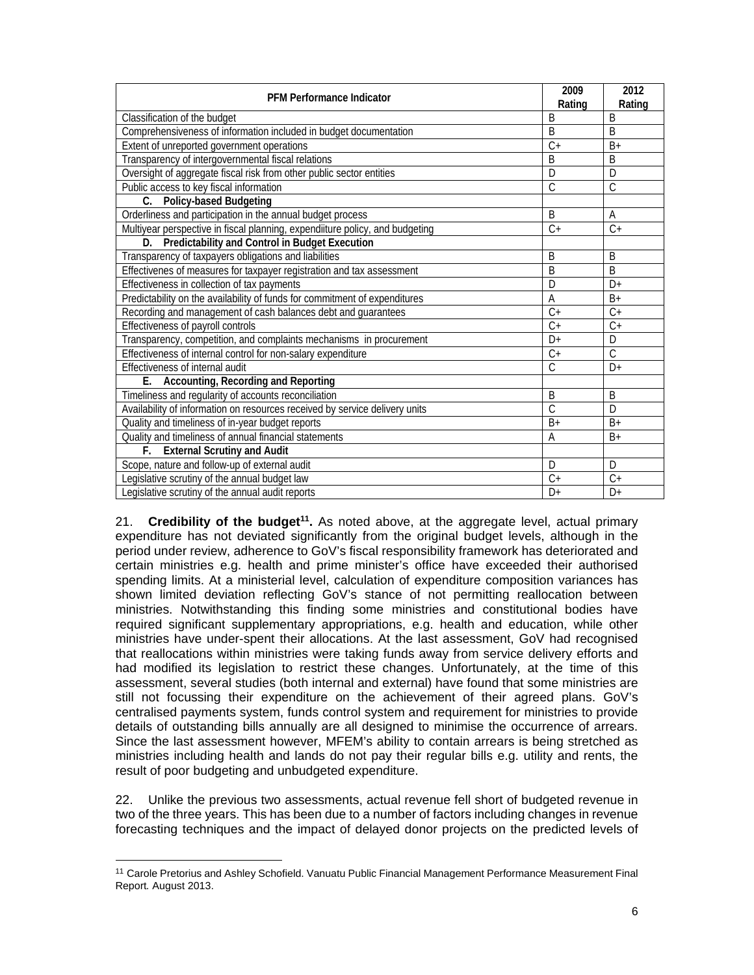| <b>PFM Performance Indicator</b>                                             | 2009<br>Rating     | 2012<br>Rating |
|------------------------------------------------------------------------------|--------------------|----------------|
| Classification of the budget                                                 | B                  | B              |
| Comprehensiveness of information included in budget documentation            | B                  | B              |
| Extent of unreported government operations                                   | $C +$              | $B+$           |
| Transparency of intergovernmental fiscal relations                           | B                  | B              |
| Oversight of aggregate fiscal risk from other public sector entities         | $\overline{D}$     | D              |
| Public access to key fiscal information                                      | $\overline{\rm C}$ | $\overline{C}$ |
| C. Policy-based Budgeting                                                    |                    |                |
| Orderliness and participation in the annual budget process                   | B                  | A              |
| Multiyear perspective in fiscal planning, expendiiture policy, and budgeting | $C+$               | $C+$           |
| D. Predictability and Control in Budget Execution                            |                    |                |
| Transparency of taxpayers obligations and liabilities                        | B                  | B              |
| Effectivenes of measures for taxpayer registration and tax assessment        | B                  | <sub>B</sub>   |
| Effectiveness in collection of tax payments                                  | D                  | $D+$           |
| Predictability on the availability of funds for commitment of expenditures   | $\overline{A}$     | $B+$           |
| Recording and management of cash balances debt and guarantees                | $C+$               | $C +$          |
| Effectiveness of payroll controls                                            | $\overline{C+}$    | $C +$          |
| Transparency, competition, and complaints mechanisms in procurement          | $D+$               | D              |
| Effectiveness of internal control for non-salary expenditure                 | $C +$              | $\mathcal{C}$  |
| Effectiveness of internal audit                                              | Ć                  | $D+$           |
| Accounting, Recording and Reporting<br>Е.                                    |                    |                |
| Timeliness and regularity of accounts reconciliation                         | B                  | B              |
| Availability of information on resources received by service delivery units  | Ć                  | D              |
| Quality and timeliness of in-year budget reports                             | $B+$               | $B+$           |
| Quality and timeliness of annual financial statements                        | A                  | $B+$           |
| <b>External Scrutiny and Audit</b><br>F.                                     |                    |                |
| Scope, nature and follow-up of external audit                                | D                  | D              |
| Legislative scrutiny of the annual budget law                                | $C+$               | $C+$           |
| Legislative scrutiny of the annual audit reports                             | $D+$               | $D+$           |

21. **Credibility of the budget<sup>11</sup>.** As noted above, at the aggregate level, actual primary expenditure has not deviated significantly from the original budget levels, although in the period under review, adherence to GoV's fiscal responsibility framework has deteriorated and certain ministries e.g. health and prime minister's office have exceeded their authorised spending limits. At a ministerial level, calculation of expenditure composition variances has shown limited deviation reflecting GoV's stance of not permitting reallocation between ministries. Notwithstanding this finding some ministries and constitutional bodies have required significant supplementary appropriations, e.g. health and education, while other ministries have under-spent their allocations. At the last assessment, GoV had recognised that reallocations within ministries were taking funds away from service delivery efforts and had modified its legislation to restrict these changes. Unfortunately, at the time of this assessment, several studies (both internal and external) have found that some ministries are still not focussing their expenditure on the achievement of their agreed plans. GoV's centralised payments system, funds control system and requirement for ministries to provide details of outstanding bills annually are all designed to minimise the occurrence of arrears. Since the last assessment however, MFEM's ability to contain arrears is being stretched as ministries including health and lands do not pay their regular bills e.g. utility and rents, the result of poor budgeting and unbudgeted expenditure.

22. Unlike the previous two assessments, actual revenue fell short of budgeted revenue in two of the three years. This has been due to a number of factors including changes in revenue forecasting techniques and the impact of delayed donor projects on the predicted levels of

<sup>11</sup> Carole Pretorius and Ashley Schofield. Vanuatu Public Financial Management Performance Measurement Final Report*.* August 2013.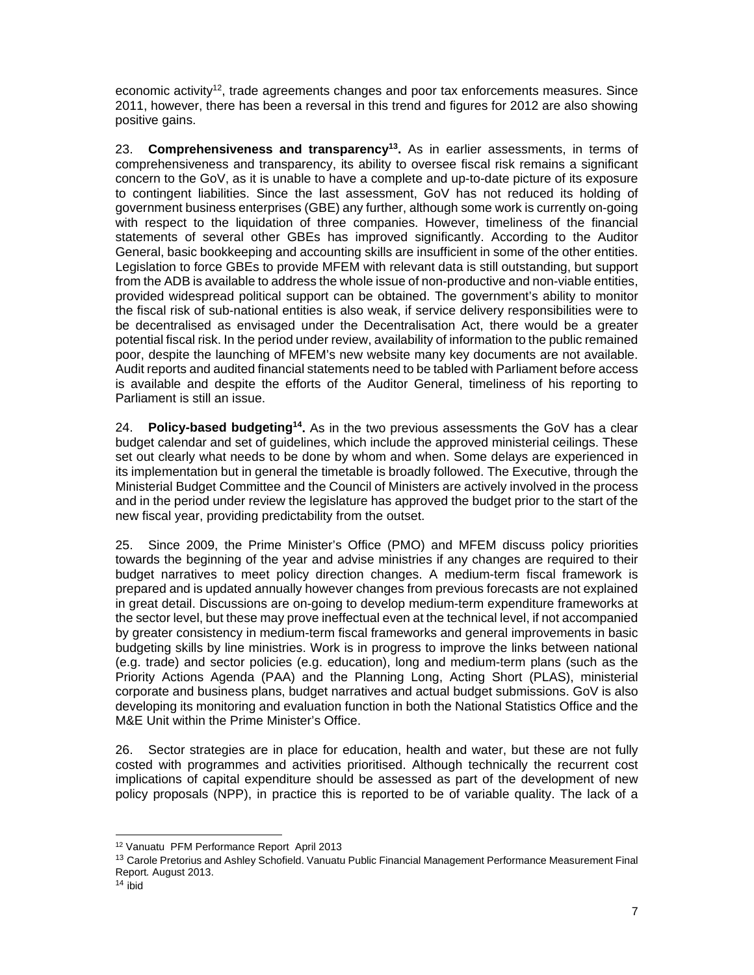economic activity<sup>12</sup>, trade agreements changes and poor tax enforcements measures. Since 2011, however, there has been a reversal in this trend and figures for 2012 are also showing positive gains.

23. **Comprehensiveness and transparency13.** As in earlier assessments, in terms of comprehensiveness and transparency, its ability to oversee fiscal risk remains a significant concern to the GoV, as it is unable to have a complete and up-to-date picture of its exposure to contingent liabilities. Since the last assessment, GoV has not reduced its holding of government business enterprises (GBE) any further, although some work is currently on-going with respect to the liquidation of three companies. However, timeliness of the financial statements of several other GBEs has improved significantly. According to the Auditor General, basic bookkeeping and accounting skills are insufficient in some of the other entities. Legislation to force GBEs to provide MFEM with relevant data is still outstanding, but support from the ADB is available to address the whole issue of non-productive and non-viable entities, provided widespread political support can be obtained. The government's ability to monitor the fiscal risk of sub-national entities is also weak, if service delivery responsibilities were to be decentralised as envisaged under the Decentralisation Act, there would be a greater potential fiscal risk. In the period under review, availability of information to the public remained poor, despite the launching of MFEM's new website many key documents are not available. Audit reports and audited financial statements need to be tabled with Parliament before access is available and despite the efforts of the Auditor General, timeliness of his reporting to Parliament is still an issue.

24. **Policy-based budgeting14.** As in the two previous assessments the GoV has a clear budget calendar and set of guidelines, which include the approved ministerial ceilings. These set out clearly what needs to be done by whom and when. Some delays are experienced in its implementation but in general the timetable is broadly followed. The Executive, through the Ministerial Budget Committee and the Council of Ministers are actively involved in the process and in the period under review the legislature has approved the budget prior to the start of the new fiscal year, providing predictability from the outset.

25. Since 2009, the Prime Minister's Office (PMO) and MFEM discuss policy priorities towards the beginning of the year and advise ministries if any changes are required to their budget narratives to meet policy direction changes. A medium-term fiscal framework is prepared and is updated annually however changes from previous forecasts are not explained in great detail. Discussions are on-going to develop medium-term expenditure frameworks at the sector level, but these may prove ineffectual even at the technical level, if not accompanied by greater consistency in medium-term fiscal frameworks and general improvements in basic budgeting skills by line ministries. Work is in progress to improve the links between national (e.g. trade) and sector policies (e.g. education), long and medium-term plans (such as the Priority Actions Agenda (PAA) and the Planning Long, Acting Short (PLAS), ministerial corporate and business plans, budget narratives and actual budget submissions. GoV is also developing its monitoring and evaluation function in both the National Statistics Office and the M&E Unit within the Prime Minister's Office.

26. Sector strategies are in place for education, health and water, but these are not fully costed with programmes and activities prioritised. Although technically the recurrent cost implications of capital expenditure should be assessed as part of the development of new policy proposals (NPP), in practice this is reported to be of variable quality. The lack of a

<sup>12</sup> Vanuatu PFM Performance Report April 2013

<sup>&</sup>lt;sup>13</sup> Carole Pretorius and Ashley Schofield. Vanuatu Public Financial Management Performance Measurement Final Report*.* August 2013.

 $14$  ibid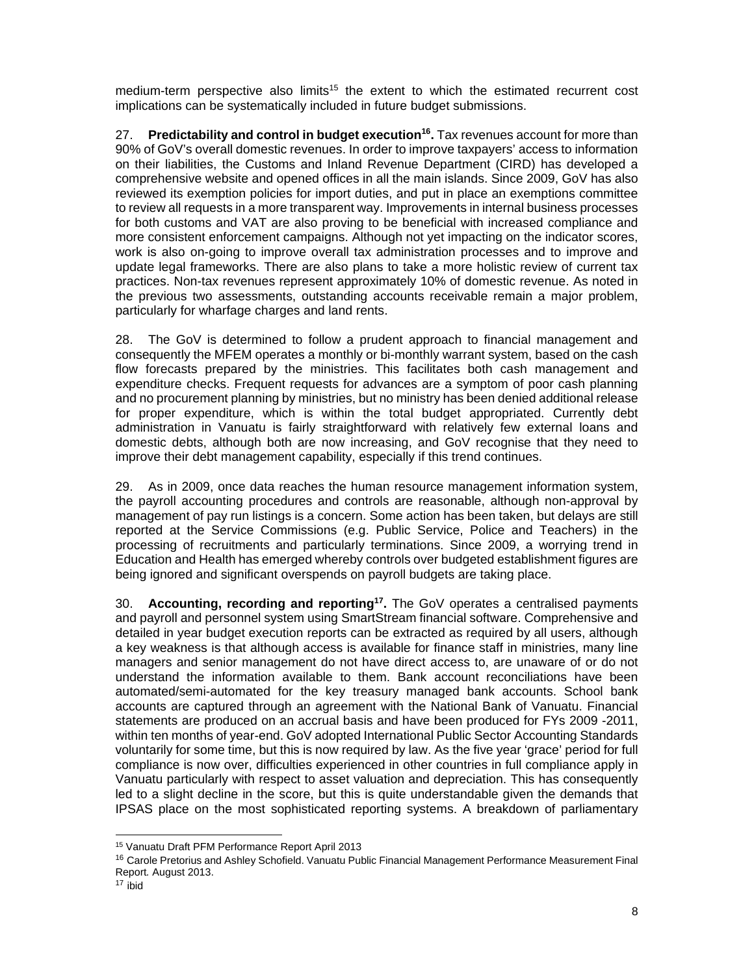medium-term perspective also limits<sup>15</sup> the extent to which the estimated recurrent cost implications can be systematically included in future budget submissions.

27. **Predictability and control in budget execution16.** Tax revenues account for more than 90% of GoV's overall domestic revenues. In order to improve taxpayers' access to information on their liabilities, the Customs and Inland Revenue Department (CIRD) has developed a comprehensive website and opened offices in all the main islands. Since 2009, GoV has also reviewed its exemption policies for import duties, and put in place an exemptions committee to review all requests in a more transparent way. Improvements in internal business processes for both customs and VAT are also proving to be beneficial with increased compliance and more consistent enforcement campaigns. Although not yet impacting on the indicator scores, work is also on-going to improve overall tax administration processes and to improve and update legal frameworks. There are also plans to take a more holistic review of current tax practices. Non-tax revenues represent approximately 10% of domestic revenue. As noted in the previous two assessments, outstanding accounts receivable remain a major problem, particularly for wharfage charges and land rents.

28. The GoV is determined to follow a prudent approach to financial management and consequently the MFEM operates a monthly or bi-monthly warrant system, based on the cash flow forecasts prepared by the ministries. This facilitates both cash management and expenditure checks. Frequent requests for advances are a symptom of poor cash planning and no procurement planning by ministries, but no ministry has been denied additional release for proper expenditure, which is within the total budget appropriated. Currently debt administration in Vanuatu is fairly straightforward with relatively few external loans and domestic debts, although both are now increasing, and GoV recognise that they need to improve their debt management capability, especially if this trend continues.

29. As in 2009, once data reaches the human resource management information system, the payroll accounting procedures and controls are reasonable, although non-approval by management of pay run listings is a concern. Some action has been taken, but delays are still reported at the Service Commissions (e.g. Public Service, Police and Teachers) in the processing of recruitments and particularly terminations. Since 2009, a worrying trend in Education and Health has emerged whereby controls over budgeted establishment figures are being ignored and significant overspends on payroll budgets are taking place.

30. **Accounting, recording and reporting17.** The GoV operates a centralised payments and payroll and personnel system using SmartStream financial software. Comprehensive and detailed in year budget execution reports can be extracted as required by all users, although a key weakness is that although access is available for finance staff in ministries, many line managers and senior management do not have direct access to, are unaware of or do not understand the information available to them. Bank account reconciliations have been automated/semi-automated for the key treasury managed bank accounts. School bank accounts are captured through an agreement with the National Bank of Vanuatu. Financial statements are produced on an accrual basis and have been produced for FYs 2009 -2011, within ten months of year-end. GoV adopted International Public Sector Accounting Standards voluntarily for some time, but this is now required by law. As the five year 'grace' period for full compliance is now over, difficulties experienced in other countries in full compliance apply in Vanuatu particularly with respect to asset valuation and depreciation. This has consequently led to a slight decline in the score, but this is quite understandable given the demands that IPSAS place on the most sophisticated reporting systems. A breakdown of parliamentary

<sup>15</sup> Vanuatu Draft PFM Performance Report April 2013

<sup>&</sup>lt;sup>16</sup> Carole Pretorius and Ashley Schofield. Vanuatu Public Financial Management Performance Measurement Final Report*.* August 2013.

 $17$  ibid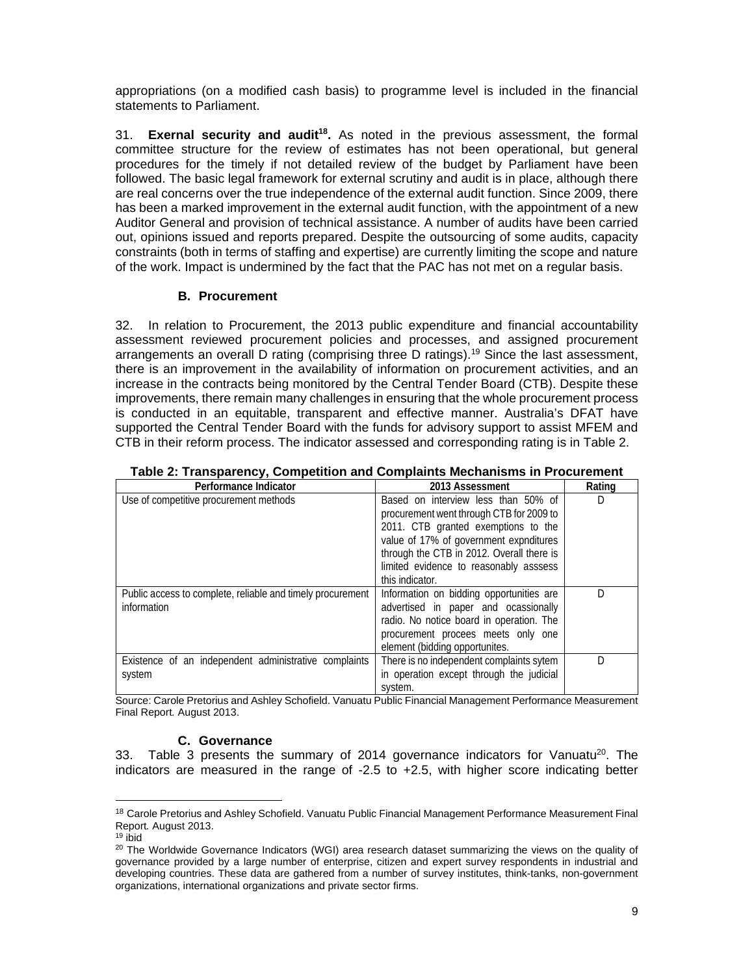appropriations (on a modified cash basis) to programme level is included in the financial statements to Parliament.

31. **Exernal security and audit<sup>18</sup>.** As noted in the previous assessment, the formal committee structure for the review of estimates has not been operational, but general procedures for the timely if not detailed review of the budget by Parliament have been followed. The basic legal framework for external scrutiny and audit is in place, although there are real concerns over the true independence of the external audit function. Since 2009, there has been a marked improvement in the external audit function, with the appointment of a new Auditor General and provision of technical assistance. A number of audits have been carried out, opinions issued and reports prepared. Despite the outsourcing of some audits, capacity constraints (both in terms of staffing and expertise) are currently limiting the scope and nature of the work. Impact is undermined by the fact that the PAC has not met on a regular basis.

#### **B. Procurement**

32. In relation to Procurement, the 2013 public expenditure and financial accountability assessment reviewed procurement policies and processes, and assigned procurement arrangements an overall D rating (comprising three D ratings).19 Since the last assessment, there is an improvement in the availability of information on procurement activities, and an increase in the contracts being monitored by the Central Tender Board (CTB). Despite these improvements, there remain many challenges in ensuring that the whole procurement process is conducted in an equitable, transparent and effective manner. Australia's DFAT have supported the Central Tender Board with the funds for advisory support to assist MFEM and CTB in their reform process. The indicator assessed and corresponding rating is in Table 2.

| Performance Indicator                                                     | 2013 Assessment                                                                                                                                                                                                                                                            | Rating |
|---------------------------------------------------------------------------|----------------------------------------------------------------------------------------------------------------------------------------------------------------------------------------------------------------------------------------------------------------------------|--------|
| Use of competitive procurement methods                                    | Based on interview less than 50% of<br>procurement went through CTB for 2009 to<br>2011. CTB granted exemptions to the<br>value of 17% of government expnditures<br>through the CTB in 2012. Overall there is<br>limited evidence to reasonably asssess<br>this indicator. |        |
| Public access to complete, reliable and timely procurement<br>information | Information on bidding opportunities are<br>advertised in paper and ocassionally<br>radio. No notice board in operation. The<br>procurement procees meets only one<br>element (bidding opportunites.                                                                       |        |
| Existence of an independent administrative complaints<br>system           | There is no independent complaints sytem<br>in operation except through the judicial<br>system.                                                                                                                                                                            | D      |

|  |  |  |  | Table 2: Transparency, Competition and Complaints Mechanisms in Procurement |
|--|--|--|--|-----------------------------------------------------------------------------|
|--|--|--|--|-----------------------------------------------------------------------------|

Source: Carole Pretorius and Ashley Schofield. Vanuatu Public Financial Management Performance Measurement Final Report*.* August 2013.

#### **C. Governance**

33. Table 3 presents the summary of 2014 governance indicators for Vanuatu<sup>20</sup>. The indicators are measured in the range of -2.5 to +2.5, with higher score indicating better

<sup>&</sup>lt;sup>18</sup> Carole Pretorius and Ashley Schofield. Vanuatu Public Financial Management Performance Measurement Final Report*.* August 2013.

 $19$  ibid

<sup>&</sup>lt;sup>20</sup> The Worldwide Governance Indicators (WGI) area research dataset summarizing the views on the quality of governance provided by a large number of enterprise, citizen and expert survey respondents in industrial and developing countries. These data are gathered from a number of survey institutes, think-tanks, non-government organizations, international organizations and private sector firms.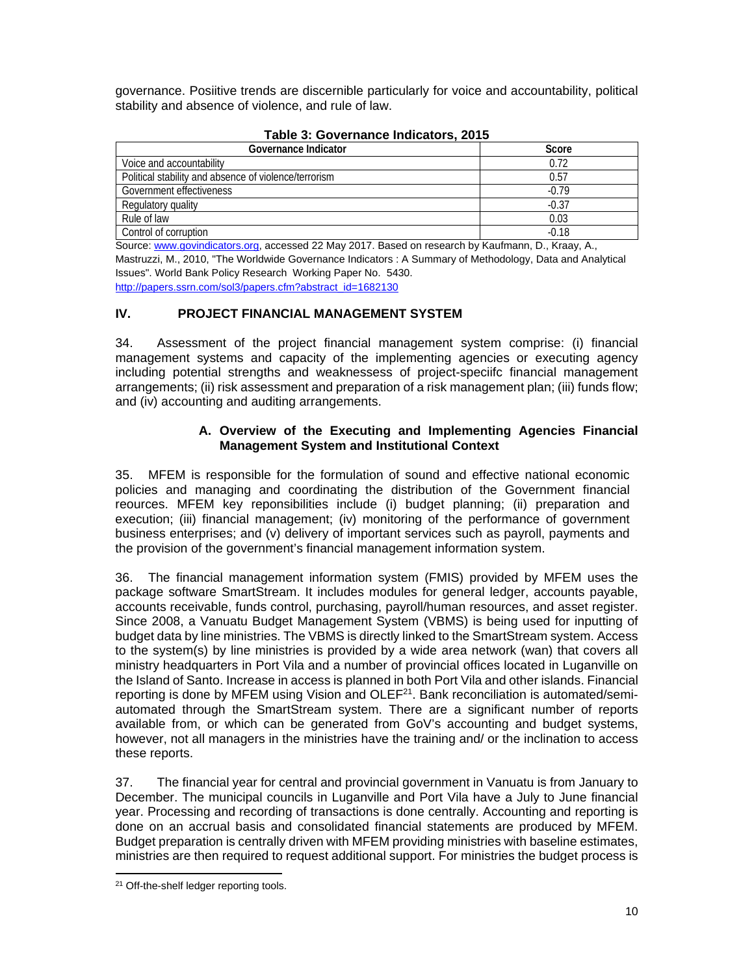governance. Posiitive trends are discernible particularly for voice and accountability, political stability and absence of violence, and rule of law.

| Governance Indicator                                  | Score   |  |  |  |  |
|-------------------------------------------------------|---------|--|--|--|--|
| Voice and accountability                              | 0.72    |  |  |  |  |
| Political stability and absence of violence/terrorism | 0.57    |  |  |  |  |
| Government effectiveness                              | $-0.79$ |  |  |  |  |
| Regulatory quality                                    | $-0.37$ |  |  |  |  |
| Rule of law                                           | 0.03    |  |  |  |  |
| Control of corruption                                 | $-0.18$ |  |  |  |  |

# **Table 3: Governance Indicators, 2015**

Source: www.govindicators.org, accessed 22 May 2017. Based on research by Kaufmann, D., Kraay, A., Mastruzzi, M., 2010, "The Worldwide Governance Indicators : A Summary of Methodology, Data and Analytical Issues". World Bank Policy Research Working Paper No. 5430. http://papers.ssrn.com/sol3/papers.cfm?abstract\_id=1682130

# **IV. PROJECT FINANCIAL MANAGEMENT SYSTEM**

34. Assessment of the project financial management system comprise: (i) financial management systems and capacity of the implementing agencies or executing agency including potential strengths and weaknessess of project-speciifc financial management arrangements; (ii) risk assessment and preparation of a risk management plan; (iii) funds flow; and (iv) accounting and auditing arrangements.

#### **A. Overview of the Executing and Implementing Agencies Financial Management System and Institutional Context**

35. MFEM is responsible for the formulation of sound and effective national economic policies and managing and coordinating the distribution of the Government financial reources. MFEM key reponsibilities include (i) budget planning; (ii) preparation and execution; (iii) financial management; (iv) monitoring of the performance of government business enterprises; and (v) delivery of important services such as payroll, payments and the provision of the government's financial management information system.

36. The financial management information system (FMIS) provided by MFEM uses the package software SmartStream. It includes modules for general ledger, accounts payable, accounts receivable, funds control, purchasing, payroll/human resources, and asset register. Since 2008, a Vanuatu Budget Management System (VBMS) is being used for inputting of budget data by line ministries. The VBMS is directly linked to the SmartStream system. Access to the system(s) by line ministries is provided by a wide area network (wan) that covers all ministry headquarters in Port Vila and a number of provincial offices located in Luganville on the Island of Santo. Increase in access is planned in both Port Vila and other islands. Financial reporting is done by MFEM using Vision and  $OLEF<sup>21</sup>$ . Bank reconciliation is automated/semiautomated through the SmartStream system. There are a significant number of reports available from, or which can be generated from GoV's accounting and budget systems, however, not all managers in the ministries have the training and/ or the inclination to access these reports.

37. The financial year for central and provincial government in Vanuatu is from January to December. The municipal councils in Luganville and Port Vila have a July to June financial year. Processing and recording of transactions is done centrally. Accounting and reporting is done on an accrual basis and consolidated financial statements are produced by MFEM. Budget preparation is centrally driven with MFEM providing ministries with baseline estimates, ministries are then required to request additional support. For ministries the budget process is

 <sup>21</sup> Off-the-shelf ledger reporting tools.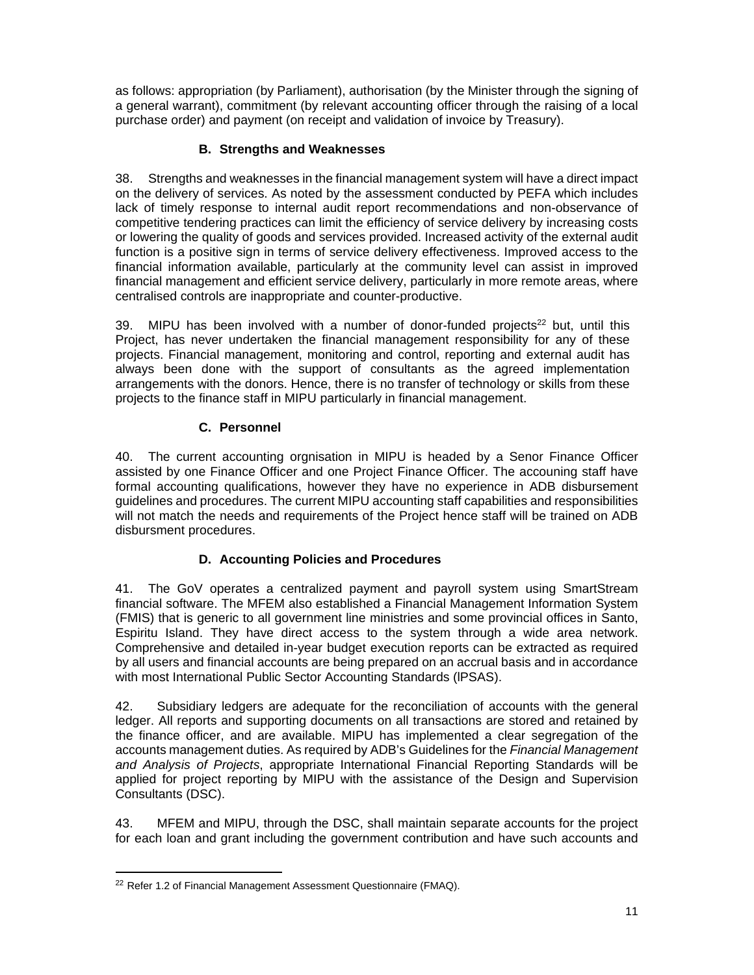as follows: appropriation (by Parliament), authorisation (by the Minister through the signing of a general warrant), commitment (by relevant accounting officer through the raising of a local purchase order) and payment (on receipt and validation of invoice by Treasury).

# **B. Strengths and Weaknesses**

38. Strengths and weaknesses in the financial management system will have a direct impact on the delivery of services. As noted by the assessment conducted by PEFA which includes lack of timely response to internal audit report recommendations and non-observance of competitive tendering practices can limit the efficiency of service delivery by increasing costs or lowering the quality of goods and services provided. Increased activity of the external audit function is a positive sign in terms of service delivery effectiveness. Improved access to the financial information available, particularly at the community level can assist in improved financial management and efficient service delivery, particularly in more remote areas, where centralised controls are inappropriate and counter-productive.

39. MIPU has been involved with a number of donor-funded projects $^{22}$  but, until this Project, has never undertaken the financial management responsibility for any of these projects. Financial management, monitoring and control, reporting and external audit has always been done with the support of consultants as the agreed implementation arrangements with the donors. Hence, there is no transfer of technology or skills from these projects to the finance staff in MIPU particularly in financial management.

## **C. Personnel**

40. The current accounting orgnisation in MIPU is headed by a Senor Finance Officer assisted by one Finance Officer and one Project Finance Officer. The accouning staff have formal accounting qualifications, however they have no experience in ADB disbursement guidelines and procedures. The current MIPU accounting staff capabilities and responsibilities will not match the needs and requirements of the Project hence staff will be trained on ADB disbursment procedures.

# **D. Accounting Policies and Procedures**

41. The GoV operates a centralized payment and payroll system using SmartStream financial software. The MFEM also established a Financial Management Information System (FMIS) that is generic to all government line ministries and some provincial offices in Santo, Espiritu Island. They have direct access to the system through a wide area network. Comprehensive and detailed in-year budget execution reports can be extracted as required by all users and financial accounts are being prepared on an accrual basis and in accordance with most International Public Sector Accounting Standards (lPSAS).

42. Subsidiary ledgers are adequate for the reconciliation of accounts with the general ledger. All reports and supporting documents on all transactions are stored and retained by the finance officer, and are available. MIPU has implemented a clear segregation of the accounts management duties. As required by ADB's Guidelines for the *Financial Management and Analysis of Projects*, appropriate International Financial Reporting Standards will be applied for project reporting by MIPU with the assistance of the Design and Supervision Consultants (DSC).

43. MFEM and MIPU, through the DSC, shall maintain separate accounts for the project for each loan and grant including the government contribution and have such accounts and

<sup>&</sup>lt;sup>22</sup> Refer 1.2 of Financial Management Assessment Questionnaire (FMAQ).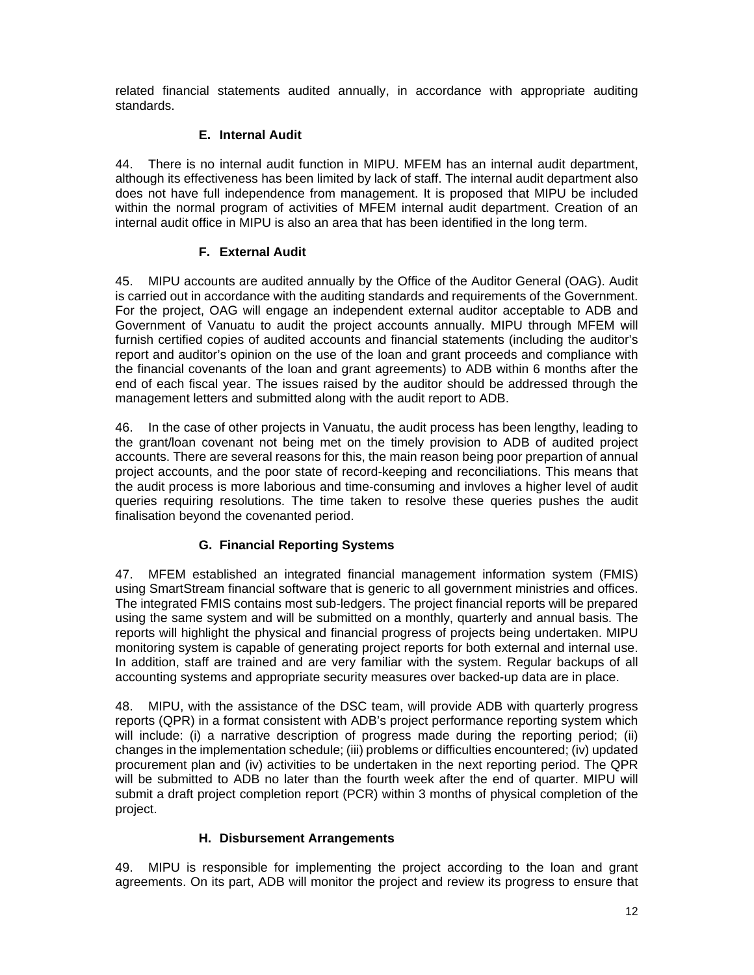related financial statements audited annually, in accordance with appropriate auditing standards.

### **E. Internal Audit**

44. There is no internal audit function in MIPU. MFEM has an internal audit department, although its effectiveness has been limited by lack of staff. The internal audit department also does not have full independence from management. It is proposed that MIPU be included within the normal program of activities of MFEM internal audit department. Creation of an internal audit office in MIPU is also an area that has been identified in the long term.

### **F. External Audit**

45. MIPU accounts are audited annually by the Office of the Auditor General (OAG). Audit is carried out in accordance with the auditing standards and requirements of the Government. For the project, OAG will engage an independent external auditor acceptable to ADB and Government of Vanuatu to audit the project accounts annually. MIPU through MFEM will furnish certified copies of audited accounts and financial statements (including the auditor's report and auditor's opinion on the use of the loan and grant proceeds and compliance with the financial covenants of the loan and grant agreements) to ADB within 6 months after the end of each fiscal year. The issues raised by the auditor should be addressed through the management letters and submitted along with the audit report to ADB.

46. In the case of other projects in Vanuatu, the audit process has been lengthy, leading to the grant/loan covenant not being met on the timely provision to ADB of audited project accounts. There are several reasons for this, the main reason being poor prepartion of annual project accounts, and the poor state of record-keeping and reconciliations. This means that the audit process is more laborious and time-consuming and invloves a higher level of audit queries requiring resolutions. The time taken to resolve these queries pushes the audit finalisation beyond the covenanted period.

## **G. Financial Reporting Systems**

47. MFEM established an integrated financial management information system (FMIS) using SmartStream financial software that is generic to all government ministries and offices. The integrated FMIS contains most sub-ledgers. The project financial reports will be prepared using the same system and will be submitted on a monthly, quarterly and annual basis. The reports will highlight the physical and financial progress of projects being undertaken. MIPU monitoring system is capable of generating project reports for both external and internal use. In addition, staff are trained and are very familiar with the system. Regular backups of all accounting systems and appropriate security measures over backed-up data are in place.

48. MIPU, with the assistance of the DSC team, will provide ADB with quarterly progress reports (QPR) in a format consistent with ADB's project performance reporting system which will include: (i) a narrative description of progress made during the reporting period; (ii) changes in the implementation schedule; (iii) problems or difficulties encountered; (iv) updated procurement plan and (iv) activities to be undertaken in the next reporting period. The QPR will be submitted to ADB no later than the fourth week after the end of quarter. MIPU will submit a draft project completion report (PCR) within 3 months of physical completion of the project.

#### **H. Disbursement Arrangements**

49. MIPU is responsible for implementing the project according to the loan and grant agreements. On its part, ADB will monitor the project and review its progress to ensure that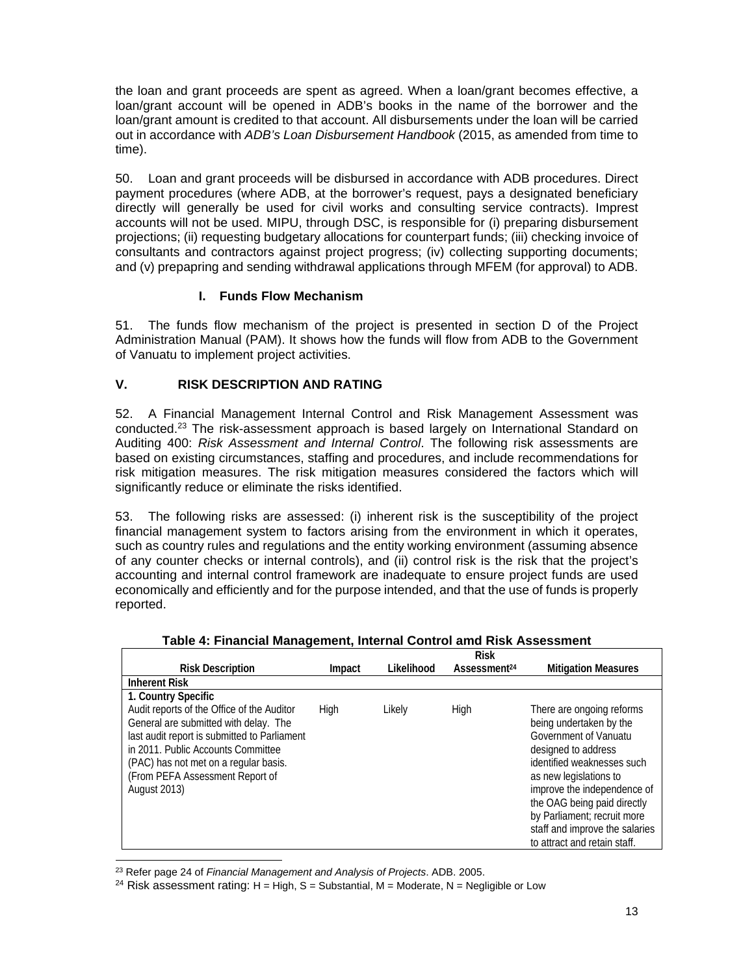the loan and grant proceeds are spent as agreed. When a loan/grant becomes effective, a loan/grant account will be opened in ADB's books in the name of the borrower and the loan/grant amount is credited to that account. All disbursements under the loan will be carried out in accordance with *ADB's Loan Disbursement Handbook* (2015, as amended from time to time).

50. Loan and grant proceeds will be disbursed in accordance with ADB procedures. Direct payment procedures (where ADB, at the borrower's request, pays a designated beneficiary directly will generally be used for civil works and consulting service contracts). Imprest accounts will not be used. MIPU, through DSC, is responsible for (i) preparing disbursement projections; (ii) requesting budgetary allocations for counterpart funds; (iii) checking invoice of consultants and contractors against project progress; (iv) collecting supporting documents; and (v) prepapring and sending withdrawal applications through MFEM (for approval) to ADB.

## **I. Funds Flow Mechanism**

51. The funds flow mechanism of the project is presented in section D of the Project Administration Manual (PAM). It shows how the funds will flow from ADB to the Government of Vanuatu to implement project activities.

## **V. RISK DESCRIPTION AND RATING**

52. A Financial Management Internal Control and Risk Management Assessment was conducted.23 The risk-assessment approach is based largely on International Standard on Auditing 400: *Risk Assessment and Internal Control*. The following risk assessments are based on existing circumstances, staffing and procedures, and include recommendations for risk mitigation measures. The risk mitigation measures considered the factors which will significantly reduce or eliminate the risks identified.

53. The following risks are assessed: (i) inherent risk is the susceptibility of the project financial management system to factors arising from the environment in which it operates, such as country rules and regulations and the entity working environment (assuming absence of any counter checks or internal controls), and (ii) control risk is the risk that the project's accounting and internal control framework are inadequate to ensure project funds are used economically and efficiently and for the purpose intended, and that the use of funds is properly reported.

|                                                                                                                                                                                                                                                                                              |        |            | <b>Risk</b>              |                                                                                                                                                                                                                                                           |
|----------------------------------------------------------------------------------------------------------------------------------------------------------------------------------------------------------------------------------------------------------------------------------------------|--------|------------|--------------------------|-----------------------------------------------------------------------------------------------------------------------------------------------------------------------------------------------------------------------------------------------------------|
| <b>Risk Description</b>                                                                                                                                                                                                                                                                      | Impact | Likelihood | Assessment <sup>24</sup> | <b>Mitigation Measures</b>                                                                                                                                                                                                                                |
| <b>Inherent Risk</b>                                                                                                                                                                                                                                                                         |        |            |                          |                                                                                                                                                                                                                                                           |
| 1. Country Specific<br>Audit reports of the Office of the Auditor<br>General are submitted with delay. The<br>last audit report is submitted to Parliament<br>in 2011. Public Accounts Committee<br>(PAC) has not met on a regular basis.<br>(From PEFA Assessment Report of<br>August 2013) | High   | Likely     | High                     | There are ongoing reforms<br>being undertaken by the<br>Government of Vanuatu<br>designed to address<br>identified weaknesses such<br>as new legislations to<br>improve the independence of<br>the OAG being paid directly<br>by Parliament; recruit more |
|                                                                                                                                                                                                                                                                                              |        |            |                          | staff and improve the salaries<br>to attract and retain staff.                                                                                                                                                                                            |

#### **Table 4: Financial Management, Internal Control amd Risk Assessment**

 23 Refer page 24 of *Financial Management and Analysis of Projects*. ADB. 2005.

<sup>24</sup> Risk assessment rating:  $H = High$ , S = Substantial, M = Moderate, N = Negligible or Low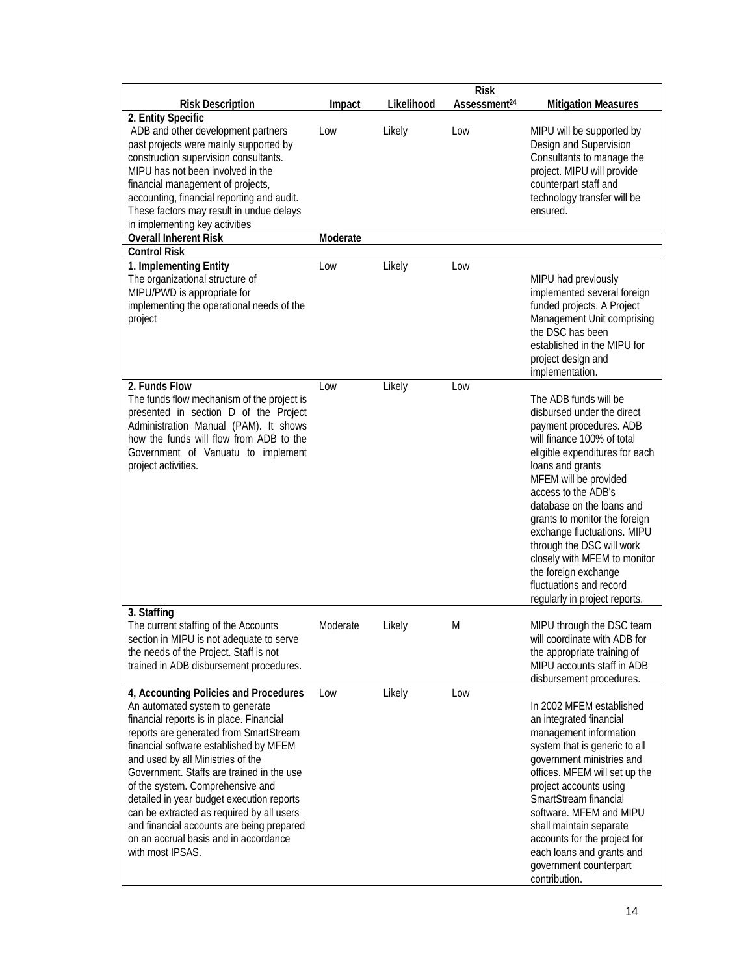|                                                                                                                                                                                                                                                                                                                                                                                                                                                                                                                                    |          |            | <b>Risk</b>              |                                                                                                                                                                                                                                                                                                                                                                                                                                                                  |
|------------------------------------------------------------------------------------------------------------------------------------------------------------------------------------------------------------------------------------------------------------------------------------------------------------------------------------------------------------------------------------------------------------------------------------------------------------------------------------------------------------------------------------|----------|------------|--------------------------|------------------------------------------------------------------------------------------------------------------------------------------------------------------------------------------------------------------------------------------------------------------------------------------------------------------------------------------------------------------------------------------------------------------------------------------------------------------|
| <b>Risk Description</b>                                                                                                                                                                                                                                                                                                                                                                                                                                                                                                            | Impact   | Likelihood | Assessment <sup>24</sup> | <b>Mitigation Measures</b>                                                                                                                                                                                                                                                                                                                                                                                                                                       |
| 2. Entity Specific<br>ADB and other development partners<br>past projects were mainly supported by<br>construction supervision consultants.<br>MIPU has not been involved in the<br>financial management of projects,<br>accounting, financial reporting and audit.<br>These factors may result in undue delays<br>in implementing key activities                                                                                                                                                                                  | Low      | Likely     | Low                      | MIPU will be supported by<br>Design and Supervision<br>Consultants to manage the<br>project. MIPU will provide<br>counterpart staff and<br>technology transfer will be<br>ensured.                                                                                                                                                                                                                                                                               |
| <b>Overall Inherent Risk</b>                                                                                                                                                                                                                                                                                                                                                                                                                                                                                                       | Moderate |            |                          |                                                                                                                                                                                                                                                                                                                                                                                                                                                                  |
| <b>Control Risk</b>                                                                                                                                                                                                                                                                                                                                                                                                                                                                                                                |          |            |                          |                                                                                                                                                                                                                                                                                                                                                                                                                                                                  |
| 1. Implementing Entity<br>The organizational structure of<br>MIPU/PWD is appropriate for<br>implementing the operational needs of the<br>project                                                                                                                                                                                                                                                                                                                                                                                   | Low      | Likely     | Low                      | MIPU had previously<br>implemented several foreign<br>funded projects. A Project<br>Management Unit comprising<br>the DSC has been<br>established in the MIPU for<br>project design and<br>implementation.                                                                                                                                                                                                                                                       |
| 2. Funds Flow                                                                                                                                                                                                                                                                                                                                                                                                                                                                                                                      | Low      | Likely     | Low                      |                                                                                                                                                                                                                                                                                                                                                                                                                                                                  |
| The funds flow mechanism of the project is<br>presented in section D of the Project<br>Administration Manual (PAM). It shows<br>how the funds will flow from ADB to the<br>Government of Vanuatu to implement<br>project activities.                                                                                                                                                                                                                                                                                               |          |            |                          | The ADB funds will be<br>disbursed under the direct<br>payment procedures. ADB<br>will finance 100% of total<br>eligible expenditures for each<br>loans and grants<br>MFEM will be provided<br>access to the ADB's<br>database on the loans and<br>grants to monitor the foreign<br>exchange fluctuations. MIPU<br>through the DSC will work<br>closely with MFEM to monitor<br>the foreign exchange<br>fluctuations and record<br>regularly in project reports. |
| 3. Staffing<br>The current staffing of the Accounts<br>section in MIPU is not adequate to serve<br>the needs of the Project. Staff is not<br>trained in ADB disbursement procedures.                                                                                                                                                                                                                                                                                                                                               | Moderate | Likely     | M                        | MIPU through the DSC team<br>will coordinate with ADB for<br>the appropriate training of<br>MIPU accounts staff in ADB<br>disbursement procedures.                                                                                                                                                                                                                                                                                                               |
| 4, Accounting Policies and Procedures<br>An automated system to generate<br>financial reports is in place. Financial<br>reports are generated from SmartStream<br>financial software established by MFEM<br>and used by all Ministries of the<br>Government. Staffs are trained in the use<br>of the system. Comprehensive and<br>detailed in year budget execution reports<br>can be extracted as required by all users<br>and financial accounts are being prepared<br>on an accrual basis and in accordance<br>with most IPSAS. | Low      | Likely     | Low                      | In 2002 MFEM established<br>an integrated financial<br>management information<br>system that is generic to all<br>government ministries and<br>offices. MFEM will set up the<br>project accounts using<br>SmartStream financial<br>software. MFEM and MIPU<br>shall maintain separate<br>accounts for the project for<br>each loans and grants and<br>government counterpart<br>contribution.                                                                    |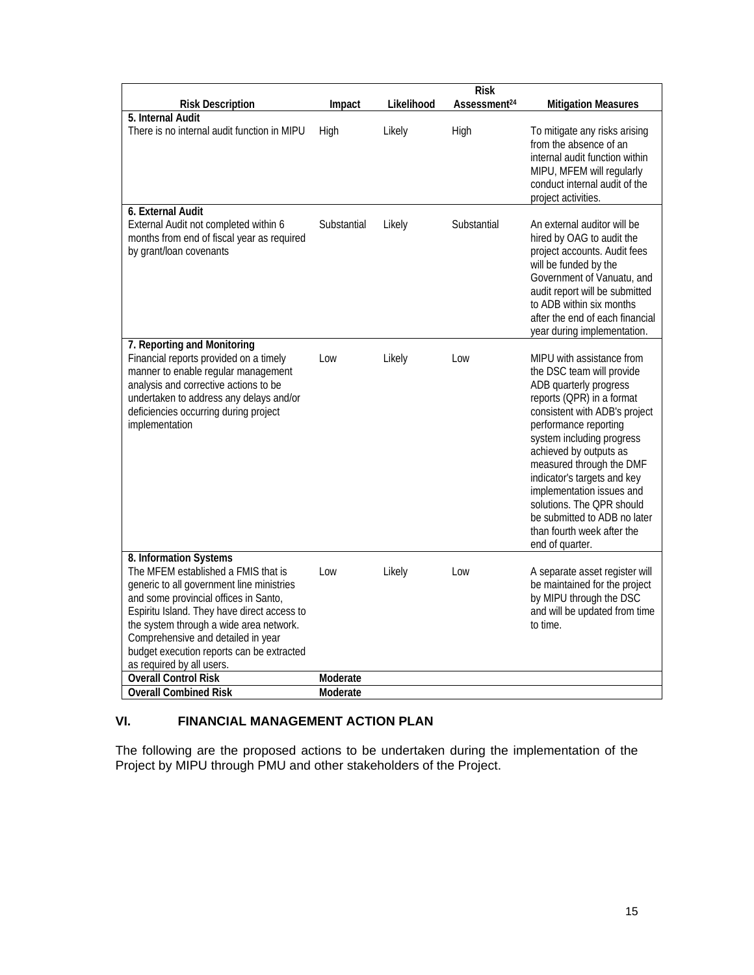|                                                                                                                                                                                                                                                                                                                                                               |                      |            | <b>Risk</b>              |                                                                                                                                                                                                                                                                                                                                                                                                                                      |
|---------------------------------------------------------------------------------------------------------------------------------------------------------------------------------------------------------------------------------------------------------------------------------------------------------------------------------------------------------------|----------------------|------------|--------------------------|--------------------------------------------------------------------------------------------------------------------------------------------------------------------------------------------------------------------------------------------------------------------------------------------------------------------------------------------------------------------------------------------------------------------------------------|
| <b>Risk Description</b>                                                                                                                                                                                                                                                                                                                                       | Impact               | Likelihood | Assessment <sup>24</sup> | <b>Mitigation Measures</b>                                                                                                                                                                                                                                                                                                                                                                                                           |
| 5. Internal Audit<br>There is no internal audit function in MIPU                                                                                                                                                                                                                                                                                              | High                 | Likely     | High                     | To mitigate any risks arising<br>from the absence of an<br>internal audit function within<br>MIPU, MFEM will regularly<br>conduct internal audit of the<br>project activities.                                                                                                                                                                                                                                                       |
| 6. External Audit<br>External Audit not completed within 6<br>months from end of fiscal year as required<br>by grant/loan covenants                                                                                                                                                                                                                           | Substantial          | Likely     | Substantial              | An external auditor will be<br>hired by OAG to audit the<br>project accounts. Audit fees<br>will be funded by the<br>Government of Vanuatu, and<br>audit report will be submitted<br>to ADB within six months<br>after the end of each financial<br>year during implementation.                                                                                                                                                      |
| 7. Reporting and Monitoring<br>Financial reports provided on a timely<br>manner to enable regular management<br>analysis and corrective actions to be<br>undertaken to address any delays and/or<br>deficiencies occurring during project<br>implementation                                                                                                   | Low                  | Likely     | Low                      | MIPU with assistance from<br>the DSC team will provide<br>ADB quarterly progress<br>reports (QPR) in a format<br>consistent with ADB's project<br>performance reporting<br>system including progress<br>achieved by outputs as<br>measured through the DMF<br>indicator's targets and key<br>implementation issues and<br>solutions. The QPR should<br>be submitted to ADB no later<br>than fourth week after the<br>end of quarter. |
| 8. Information Systems<br>The MFEM established a FMIS that is<br>generic to all government line ministries<br>and some provincial offices in Santo,<br>Espiritu Island. They have direct access to<br>the system through a wide area network.<br>Comprehensive and detailed in year<br>budget execution reports can be extracted<br>as required by all users. | Low                  | Likely     | Low                      | A separate asset register will<br>be maintained for the project<br>by MIPU through the DSC<br>and will be updated from time<br>to time.                                                                                                                                                                                                                                                                                              |
| <b>Overall Control Risk</b><br><b>Overall Combined Risk</b>                                                                                                                                                                                                                                                                                                   | Moderate<br>Moderate |            |                          |                                                                                                                                                                                                                                                                                                                                                                                                                                      |
|                                                                                                                                                                                                                                                                                                                                                               |                      |            |                          |                                                                                                                                                                                                                                                                                                                                                                                                                                      |

# **VI. FINANCIAL MANAGEMENT ACTION PLAN**

The following are the proposed actions to be undertaken during the implementation of the Project by MIPU through PMU and other stakeholders of the Project.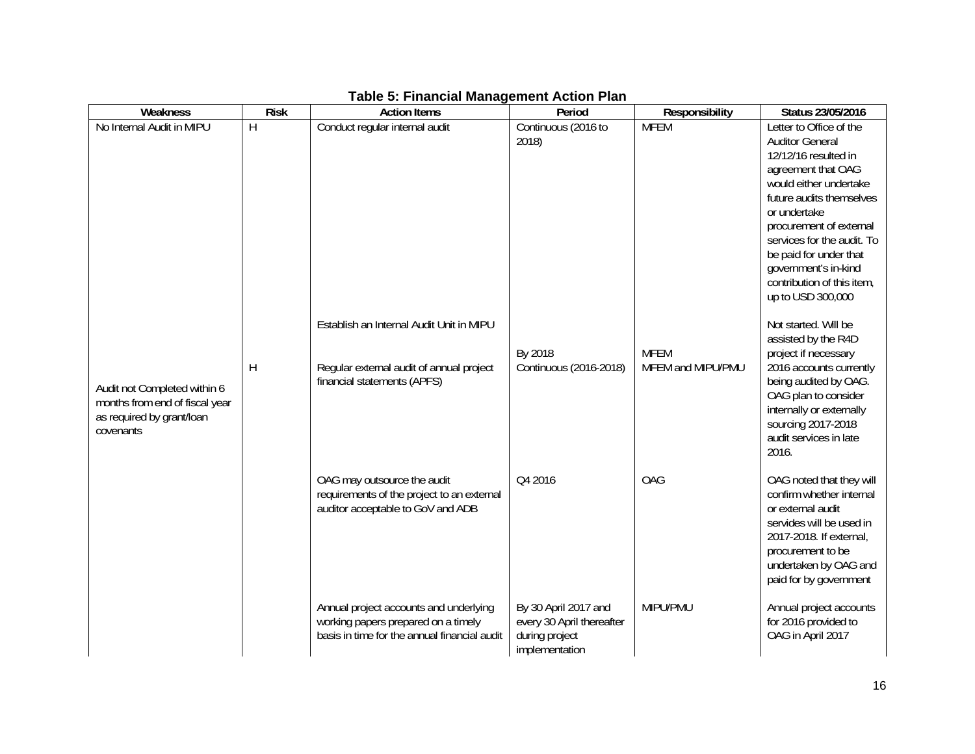| Weakness                       | <b>Risk</b> | <b>Action Items</b>                          | Period                    | Responsibility    | Status 23/05/2016                                  |
|--------------------------------|-------------|----------------------------------------------|---------------------------|-------------------|----------------------------------------------------|
| No Internal Audit in MIPU      | H           | Conduct regular internal audit               | Continuous (2016 to       | <b>MFEM</b>       | Letter to Office of the                            |
|                                |             |                                              | 2018)                     |                   | <b>Auditor General</b>                             |
|                                |             |                                              |                           |                   | 12/12/16 resulted in                               |
|                                |             |                                              |                           |                   | agreement that OAG                                 |
|                                |             |                                              |                           |                   | would either undertake                             |
|                                |             |                                              |                           |                   | future audits themselves                           |
|                                |             |                                              |                           |                   | or undertake                                       |
|                                |             |                                              |                           |                   | procurement of external                            |
|                                |             |                                              |                           |                   | services for the audit. To                         |
|                                |             |                                              |                           |                   | be paid for under that                             |
|                                |             |                                              |                           |                   | government's in-kind<br>contribution of this item, |
|                                |             |                                              |                           |                   | up to USD 300,000                                  |
|                                |             |                                              |                           |                   |                                                    |
|                                |             | Establish an Internal Audit Unit in MIPU     |                           |                   | Not started. Will be                               |
|                                |             |                                              |                           |                   | assisted by the R4D                                |
|                                |             |                                              | By 2018                   | <b>MFEM</b>       | project if necessary                               |
|                                | H           | Regular external audit of annual project     | Continuous (2016-2018)    | MFEM and MIPU/PMU | 2016 accounts currently                            |
| Audit not Completed within 6   |             | financial statements (APFS)                  |                           |                   | being audited by OAG.                              |
| months from end of fiscal year |             |                                              |                           |                   | OAG plan to consider                               |
| as required by grant/loan      |             |                                              |                           |                   | internally or externally                           |
| covenants                      |             |                                              |                           |                   | sourcing 2017-2018<br>audit services in late       |
|                                |             |                                              |                           |                   | 2016.                                              |
|                                |             |                                              |                           |                   |                                                    |
|                                |             | OAG may outsource the audit                  | Q4 2016                   | <b>OAG</b>        | OAG noted that they will                           |
|                                |             | requirements of the project to an external   |                           |                   | confirm whether internal                           |
|                                |             | auditor acceptable to GoV and ADB            |                           |                   | or external audit                                  |
|                                |             |                                              |                           |                   | servides will be used in                           |
|                                |             |                                              |                           |                   | 2017-2018. If external,                            |
|                                |             |                                              |                           |                   | procurement to be                                  |
|                                |             |                                              |                           |                   | undertaken by OAG and                              |
|                                |             |                                              |                           |                   | paid for by government                             |
|                                |             | Annual project accounts and underlying       | By 30 April 2017 and      | MIPU/PMU          | Annual project accounts                            |
|                                |             | working papers prepared on a timely          | every 30 April thereafter |                   | for 2016 provided to                               |
|                                |             | basis in time for the annual financial audit | during project            |                   | OAG in April 2017                                  |
|                                |             |                                              | implementation            |                   |                                                    |

# **Table 5: Financial Management Action Plan**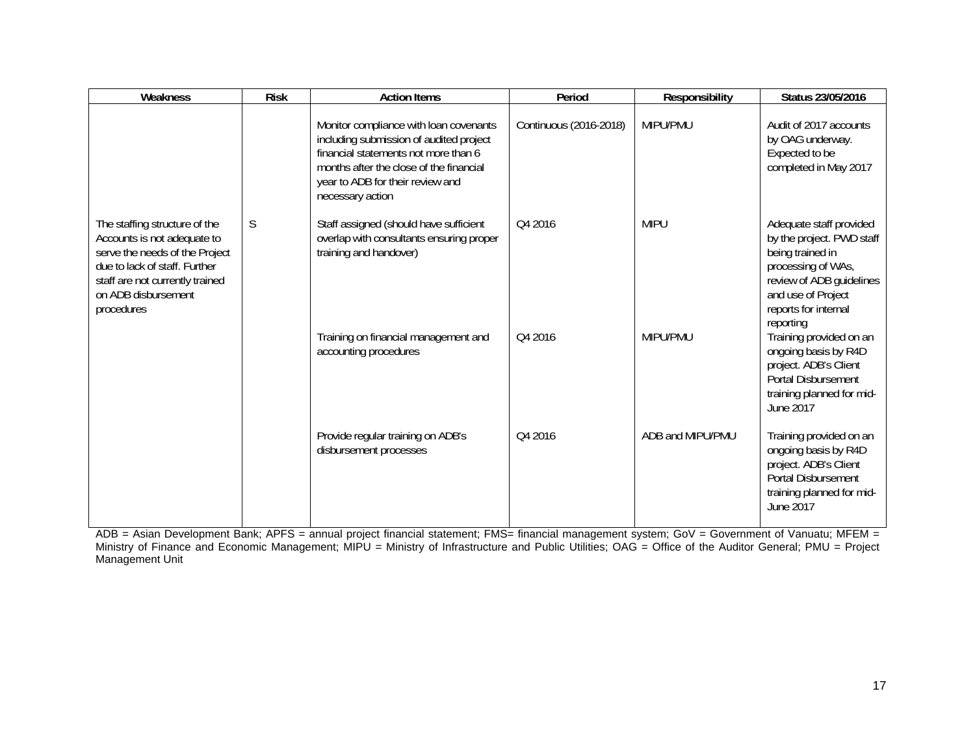| Weakness                                                                                                                                                                                                | <b>Risk</b> | <b>Action Items</b>                                                                                                                                                                                                          | Period                 | Responsibility   | Status 23/05/2016                                                                                                                                                                     |
|---------------------------------------------------------------------------------------------------------------------------------------------------------------------------------------------------------|-------------|------------------------------------------------------------------------------------------------------------------------------------------------------------------------------------------------------------------------------|------------------------|------------------|---------------------------------------------------------------------------------------------------------------------------------------------------------------------------------------|
|                                                                                                                                                                                                         |             | Monitor compliance with loan covenants<br>including submission of audited project<br>financial statements not more than 6<br>months after the close of the financial<br>year to ADB for their review and<br>necessary action | Continuous (2016-2018) | MIPU/PMU         | Audit of 2017 accounts<br>by OAG underway.<br>Expected to be<br>completed in May 2017                                                                                                 |
| The staffing structure of the<br>Accounts is not adequate to<br>serve the needs of the Project<br>due to lack of staff. Further<br>staff are not currently trained<br>on ADB disbursement<br>procedures | S           | Staff assigned (should have sufficient<br>overlap with consultants ensuring proper<br>training and handover)                                                                                                                 | Q4 2016                | <b>MIPU</b>      | Adequate staff provided<br>by the project. PWD staff<br>being trained in<br>processing of WAs,<br>review of ADB guidelines<br>and use of Project<br>reports for internal<br>reporting |
|                                                                                                                                                                                                         |             | Training on financial management and<br>accounting procedures                                                                                                                                                                | Q4 2016                | MIPU/PMU         | Training provided on an<br>ongoing basis by R4D<br>project. ADB's Client<br><b>Portal Disbursement</b><br>training planned for mid-<br>June 2017                                      |
|                                                                                                                                                                                                         |             | Provide regular training on ADB's<br>disbursement processes                                                                                                                                                                  | Q4 2016                | ADB and MIPU/PMU | Training provided on an<br>ongoing basis by R4D<br>project. ADB's Client<br>Portal Disbursement<br>training planned for mid-<br>June 2017                                             |

ADB = Asian Development Bank; APFS = annual project financial statement; FMS= financial management system; GoV = Government of Vanuatu; MFEM = Ministry of Finance and Economic Management; MIPU = Ministry of Infrastructure and Public Utilities; OAG = Office of the Auditor General; PMU = Project Management Unit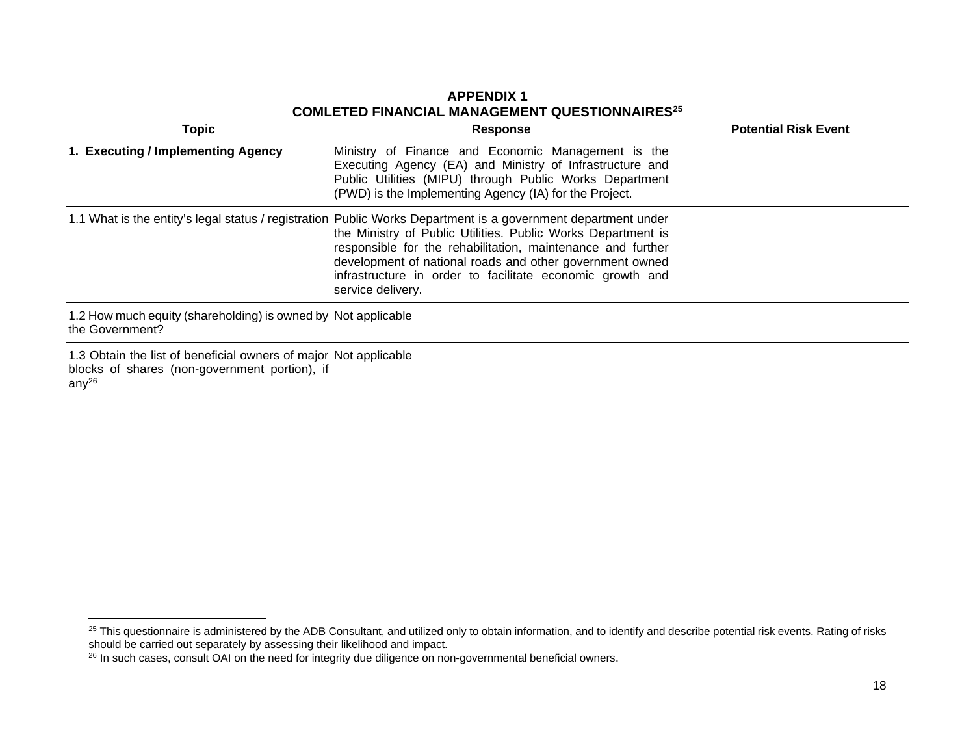# **APPENDIX 1 COMLETED FINANCIAL MANAGEMENT QUESTIONNAIRES<sup>25</sup>**

| <b>Topic</b>                                                                                                                     | <b>Response</b>                                                                                                                                                                                                                                                                                                                                                                              | <b>Potential Risk Event</b> |
|----------------------------------------------------------------------------------------------------------------------------------|----------------------------------------------------------------------------------------------------------------------------------------------------------------------------------------------------------------------------------------------------------------------------------------------------------------------------------------------------------------------------------------------|-----------------------------|
| 1. Executing / Implementing Agency                                                                                               | Ministry of Finance and Economic Management is the<br>Executing Agency (EA) and Ministry of Infrastructure and<br>Public Utilities (MIPU) through Public Works Department<br>(PWD) is the Implementing Agency (IA) for the Project.                                                                                                                                                          |                             |
|                                                                                                                                  | 1.1 What is the entity's legal status / registration   Public Works Department is a government department under<br>the Ministry of Public Utilities. Public Works Department is<br>responsible for the rehabilitation, maintenance and further<br>development of national roads and other government owned<br>infrastructure in order to facilitate economic growth and<br>service delivery. |                             |
| 1.2 How much equity (shareholding) is owned by Not applicable<br>the Government?                                                 |                                                                                                                                                                                                                                                                                                                                                                                              |                             |
| 1.3 Obtain the list of beneficial owners of major Not applicable<br>blocks of shares (non-government portion), if<br>any $^{26}$ |                                                                                                                                                                                                                                                                                                                                                                                              |                             |

<sup>&</sup>lt;sup>25</sup> This questionnaire is administered by the ADB Consultant, and utilized only to obtain information, and to identify and describe potential risk events. Rating of risks should be carried out separately by assessing their likelihood and impact.

 $^{26}$  In such cases, consult OAI on the need for integrity due diligence on non-governmental beneficial owners.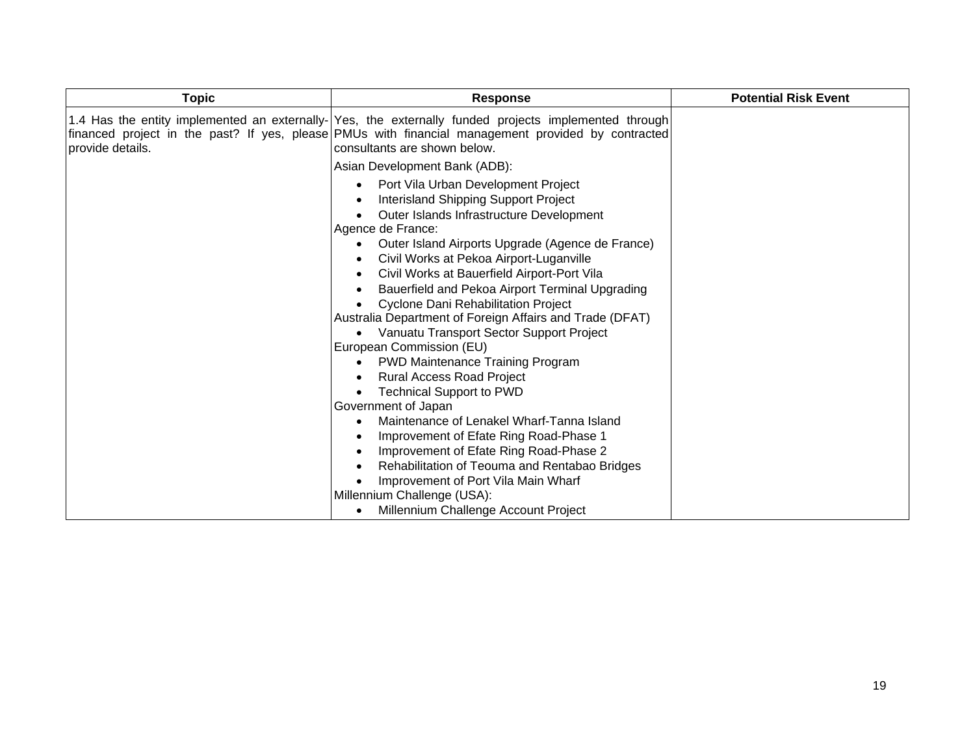| <b>Topic</b>     | <b>Response</b>                                                                                                                                                                                                                                                                                                                                                                                                                                                                                                                                                                                                                                                                                                                                                                                                                            | <b>Potential Risk Event</b> |
|------------------|--------------------------------------------------------------------------------------------------------------------------------------------------------------------------------------------------------------------------------------------------------------------------------------------------------------------------------------------------------------------------------------------------------------------------------------------------------------------------------------------------------------------------------------------------------------------------------------------------------------------------------------------------------------------------------------------------------------------------------------------------------------------------------------------------------------------------------------------|-----------------------------|
| provide details. | 1.4 Has the entity implemented an externally- Yes, the externally funded projects implemented through<br>[financed project in the past? If yes, please PMUs with financial management provided by contracted<br>consultants are shown below.                                                                                                                                                                                                                                                                                                                                                                                                                                                                                                                                                                                               |                             |
|                  | Asian Development Bank (ADB):<br>Port Vila Urban Development Project<br>Interisland Shipping Support Project<br>Outer Islands Infrastructure Development<br>Agence de France:<br>Outer Island Airports Upgrade (Agence de France)<br>Civil Works at Pekoa Airport-Luganville<br>Civil Works at Bauerfield Airport-Port Vila<br>Bauerfield and Pekoa Airport Terminal Upgrading<br><b>Cyclone Dani Rehabilitation Project</b><br>Australia Department of Foreign Affairs and Trade (DFAT)<br>Vanuatu Transport Sector Support Project<br>European Commission (EU)<br><b>PWD Maintenance Training Program</b><br><b>Rural Access Road Project</b><br><b>Technical Support to PWD</b><br>Government of Japan<br>Maintenance of Lenakel Wharf-Tanna Island<br>Improvement of Efate Ring Road-Phase 1<br>Improvement of Efate Ring Road-Phase 2 |                             |
|                  | Rehabilitation of Teouma and Rentabao Bridges<br>Improvement of Port Vila Main Wharf<br>Millennium Challenge (USA):<br>Millennium Challenge Account Project<br>$\bullet$                                                                                                                                                                                                                                                                                                                                                                                                                                                                                                                                                                                                                                                                   |                             |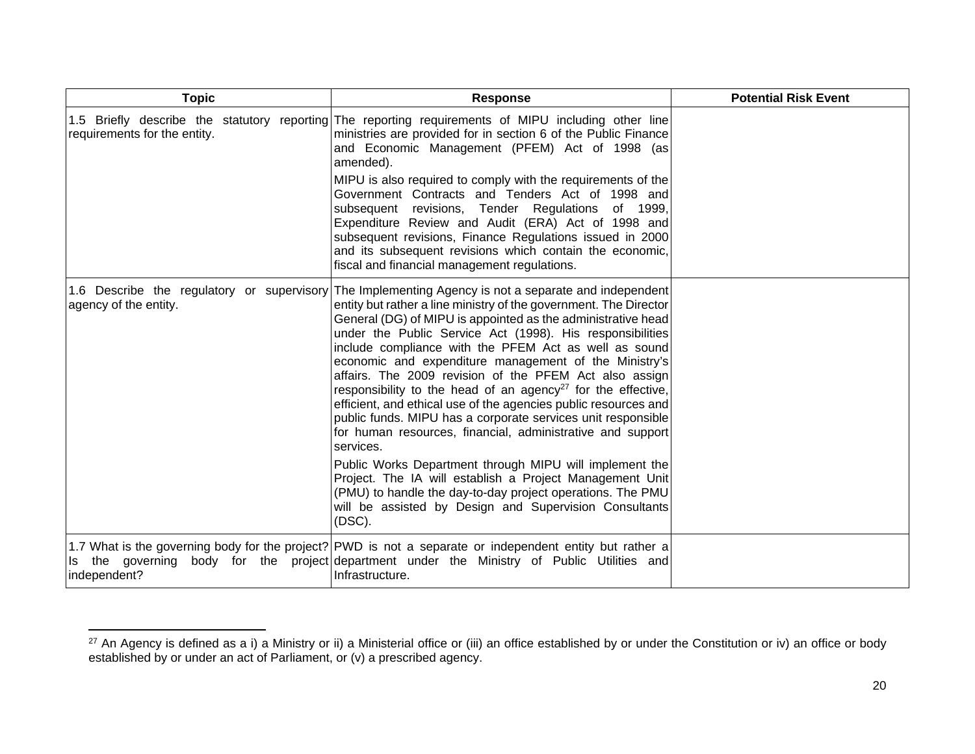| <b>Topic</b>                 | <b>Response</b>                                                                                                                                                                                                                                                                                                                                                                                                                                                                                                                                                                                                                                                                                                                                                                                                                                                                                                                                                                                                                       | <b>Potential Risk Event</b> |
|------------------------------|---------------------------------------------------------------------------------------------------------------------------------------------------------------------------------------------------------------------------------------------------------------------------------------------------------------------------------------------------------------------------------------------------------------------------------------------------------------------------------------------------------------------------------------------------------------------------------------------------------------------------------------------------------------------------------------------------------------------------------------------------------------------------------------------------------------------------------------------------------------------------------------------------------------------------------------------------------------------------------------------------------------------------------------|-----------------------------|
| requirements for the entity. | 1.5 Briefly describe the statutory reporting The reporting requirements of MIPU including other line<br>ministries are provided for in section 6 of the Public Finance<br>and Economic Management (PFEM) Act of 1998 (as<br>amended).<br>MIPU is also required to comply with the requirements of the<br>Government Contracts and Tenders Act of 1998 and<br>subsequent revisions, Tender Regulations of 1999,<br>Expenditure Review and Audit (ERA) Act of 1998 and<br>subsequent revisions, Finance Regulations issued in 2000<br>and its subsequent revisions which contain the economic,<br>fiscal and financial management regulations.                                                                                                                                                                                                                                                                                                                                                                                          |                             |
| agency of the entity.        | 1.6 Describe the regulatory or supervisory The Implementing Agency is not a separate and independent<br>entity but rather a line ministry of the government. The Director<br>General (DG) of MIPU is appointed as the administrative head<br>under the Public Service Act (1998). His responsibilities<br>include compliance with the PFEM Act as well as sound<br>economic and expenditure management of the Ministry's<br>affairs. The 2009 revision of the PFEM Act also assign<br>responsibility to the head of an agency <sup>27</sup> for the effective,<br>efficient, and ethical use of the agencies public resources and<br>public funds. MIPU has a corporate services unit responsible<br>for human resources, financial, administrative and support<br>services.<br>Public Works Department through MIPU will implement the<br>Project. The IA will establish a Project Management Unit<br>(PMU) to handle the day-to-day project operations. The PMU<br>will be assisted by Design and Supervision Consultants<br>(DSC). |                             |
| independent?                 | 1.7 What is the governing body for the project? PWD is not a separate or independent entity but rather a<br>Is the governing body for the project department under the Ministry of Public Utilities and<br>Infrastructure.                                                                                                                                                                                                                                                                                                                                                                                                                                                                                                                                                                                                                                                                                                                                                                                                            |                             |

 $^{27}$  An Agency is defined as a i) a Ministry or ii) a Ministerial office or (iii) an office established by or under the Constitution or iv) an office or body established by or under an act of Parliament, or (v) a prescribed agency.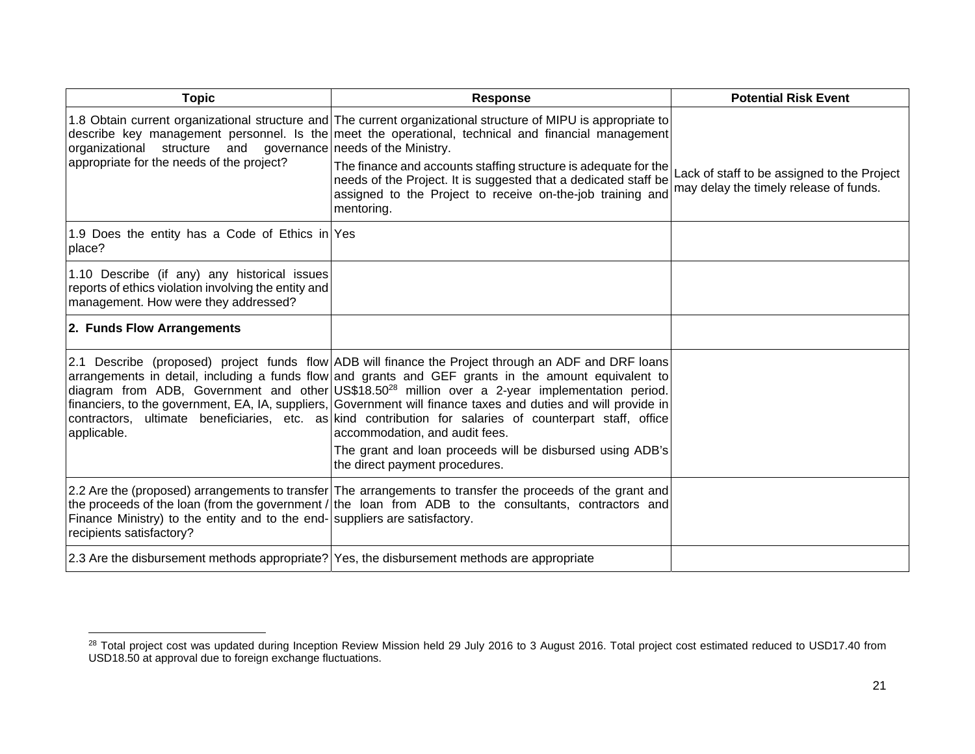| <b>Topic</b>                                                                                                                                 | <b>Response</b>                                                                                                                                                                                                                                                                                                                                                                                                                                                                                                                                                                                                                                                                              | <b>Potential Risk Event</b>                                                           |
|----------------------------------------------------------------------------------------------------------------------------------------------|----------------------------------------------------------------------------------------------------------------------------------------------------------------------------------------------------------------------------------------------------------------------------------------------------------------------------------------------------------------------------------------------------------------------------------------------------------------------------------------------------------------------------------------------------------------------------------------------------------------------------------------------------------------------------------------------|---------------------------------------------------------------------------------------|
| organizational structure and governance needs of the Ministry.<br>appropriate for the needs of the project?                                  | 1.8 Obtain current organizational structure and The current organizational structure of MIPU is appropriate to<br>describe key management personnel. Is the meet the operational, technical and financial management<br>The finance and accounts staffing structure is adequate for the<br>needs of the Project. It is suggested that a dedicated staff be<br>assigned to the Project to receive on-the-job training and<br>mentoring.                                                                                                                                                                                                                                                       | Lack of staff to be assigned to the Project<br>may delay the timely release of funds. |
| 1.9 Does the entity has a Code of Ethics in Yes<br>place?                                                                                    |                                                                                                                                                                                                                                                                                                                                                                                                                                                                                                                                                                                                                                                                                              |                                                                                       |
| 1.10 Describe (if any) any historical issues<br>reports of ethics violation involving the entity and<br>management. How were they addressed? |                                                                                                                                                                                                                                                                                                                                                                                                                                                                                                                                                                                                                                                                                              |                                                                                       |
| 2. Funds Flow Arrangements                                                                                                                   |                                                                                                                                                                                                                                                                                                                                                                                                                                                                                                                                                                                                                                                                                              |                                                                                       |
| applicable.                                                                                                                                  | 2.1 Describe (proposed) project funds flow $ADB$ will finance the Project through an ADF and DRF loans<br>arrangements in detail, including a funds flow and grants and GEF grants in the amount equivalent to<br>diagram from ADB, Government and other US\$18.50 <sup>28</sup> million over a 2-year implementation period.<br>financiers, to the government, EA, IA, suppliers, Government will finance taxes and duties and will provide in<br>contractors, ultimate beneficiaries, etc. as kind contribution for salaries of counterpart staff, office<br>accommodation, and audit fees.<br>The grant and loan proceeds will be disbursed using ADB's<br>the direct payment procedures. |                                                                                       |
| Finance Ministry) to the entity and to the end- suppliers are satisfactory.<br>recipients satisfactory?                                      | [2.2 Are the (proposed) arrangements to transfer The arrangements to transfer the proceeds of the grant and<br>the proceeds of the loan (from the government / the loan from ADB to the consultants, contractors and                                                                                                                                                                                                                                                                                                                                                                                                                                                                         |                                                                                       |
| 2.3 Are the disbursement methods appropriate? Yes, the disbursement methods are appropriate                                                  |                                                                                                                                                                                                                                                                                                                                                                                                                                                                                                                                                                                                                                                                                              |                                                                                       |

 $^{28}$  Total project cost was updated during Inception Review Mission held 29 July 2016 to 3 August 2016. Total project cost estimated reduced to USD17.40 from USD18.50 at approval due to foreign exchange fluctuations.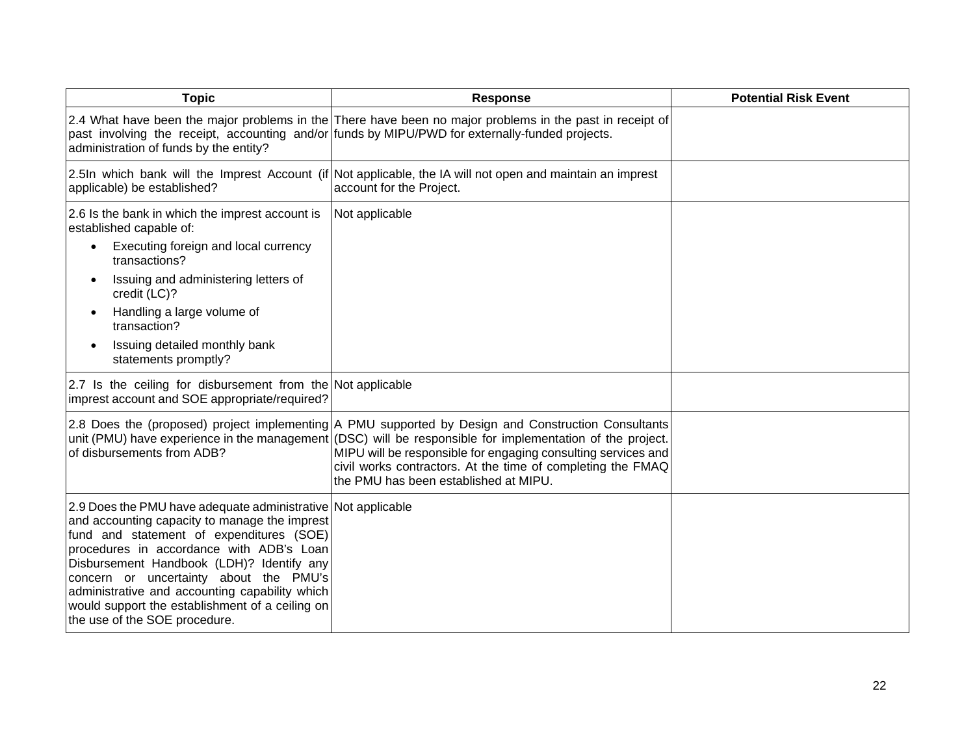| <b>Topic</b>                                                                                                                                                                                                                                                                                                                                                                                                                       | <b>Response</b>                                                                                                                                                                                                                                                                                                                                                                           | <b>Potential Risk Event</b> |
|------------------------------------------------------------------------------------------------------------------------------------------------------------------------------------------------------------------------------------------------------------------------------------------------------------------------------------------------------------------------------------------------------------------------------------|-------------------------------------------------------------------------------------------------------------------------------------------------------------------------------------------------------------------------------------------------------------------------------------------------------------------------------------------------------------------------------------------|-----------------------------|
| administration of funds by the entity?                                                                                                                                                                                                                                                                                                                                                                                             | 2.4 What have been the major problems in the There have been no major problems in the past in receipt of<br>past involving the receipt, accounting and/or funds by MIPU/PWD for externally-funded projects.                                                                                                                                                                               |                             |
| applicable) be established?                                                                                                                                                                                                                                                                                                                                                                                                        | 2.5In which bank will the Imprest Account (if Not applicable, the IA will not open and maintain an imprest<br>account for the Project.                                                                                                                                                                                                                                                    |                             |
| 2.6 Is the bank in which the imprest account is<br>established capable of:                                                                                                                                                                                                                                                                                                                                                         | Not applicable                                                                                                                                                                                                                                                                                                                                                                            |                             |
| Executing foreign and local currency<br>$\bullet$<br>transactions?                                                                                                                                                                                                                                                                                                                                                                 |                                                                                                                                                                                                                                                                                                                                                                                           |                             |
| Issuing and administering letters of<br>$\bullet$<br>credit (LC)?                                                                                                                                                                                                                                                                                                                                                                  |                                                                                                                                                                                                                                                                                                                                                                                           |                             |
| Handling a large volume of<br>transaction?                                                                                                                                                                                                                                                                                                                                                                                         |                                                                                                                                                                                                                                                                                                                                                                                           |                             |
| Issuing detailed monthly bank<br>$\bullet$<br>statements promptly?                                                                                                                                                                                                                                                                                                                                                                 |                                                                                                                                                                                                                                                                                                                                                                                           |                             |
| 2.7 Is the ceiling for disbursement from the Not applicable<br>imprest account and SOE appropriate/required?                                                                                                                                                                                                                                                                                                                       |                                                                                                                                                                                                                                                                                                                                                                                           |                             |
| of disbursements from ADB?                                                                                                                                                                                                                                                                                                                                                                                                         | 2.8 Does the (proposed) project implementing A PMU supported by Design and Construction Consultants<br>unit (PMU) have experience in the management (DSC) will be responsible for implementation of the project.<br>MIPU will be responsible for engaging consulting services and<br>civil works contractors. At the time of completing the FMAQ<br>the PMU has been established at MIPU. |                             |
| 2.9 Does the PMU have adequate administrative Not applicable<br>and accounting capacity to manage the imprest<br>fund and statement of expenditures (SOE)<br>procedures in accordance with ADB's Loan<br>Disbursement Handbook (LDH)? Identify any<br>concern or uncertainty about the PMU's<br>administrative and accounting capability which<br>would support the establishment of a ceiling on<br>the use of the SOE procedure. |                                                                                                                                                                                                                                                                                                                                                                                           |                             |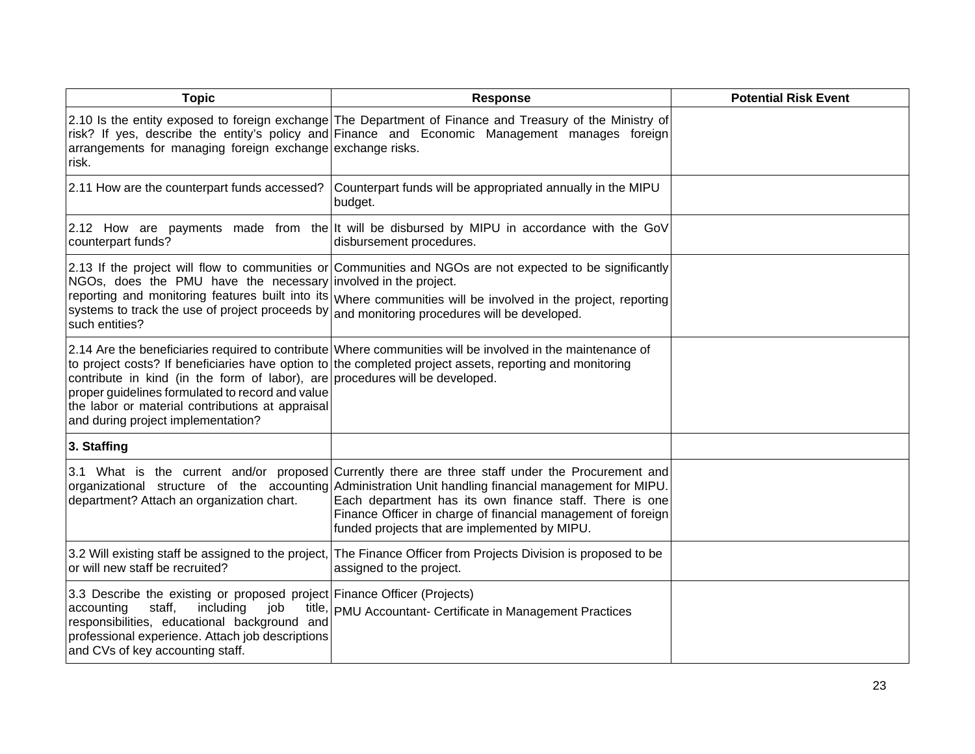| <b>Topic</b>                                                                                                                                                                                                                                                          | <b>Response</b>                                                                                                                                                                                                                                                                                                                                                                         | <b>Potential Risk Event</b> |
|-----------------------------------------------------------------------------------------------------------------------------------------------------------------------------------------------------------------------------------------------------------------------|-----------------------------------------------------------------------------------------------------------------------------------------------------------------------------------------------------------------------------------------------------------------------------------------------------------------------------------------------------------------------------------------|-----------------------------|
| arrangements for managing foreign exchange exchange risks.<br>risk.                                                                                                                                                                                                   | 2.10 Is the entity exposed to foreign exchange The Department of Finance and Treasury of the Ministry of<br>risk? If yes, describe the entity's policy and Finance and Economic Management manages foreign                                                                                                                                                                              |                             |
| 2.11 How are the counterpart funds accessed?                                                                                                                                                                                                                          | Counterpart funds will be appropriated annually in the MIPU<br>budget.                                                                                                                                                                                                                                                                                                                  |                             |
| counterpart funds?                                                                                                                                                                                                                                                    | 2.12 How are payments made from the It will be disbursed by MIPU in accordance with the GoV<br>disbursement procedures.                                                                                                                                                                                                                                                                 |                             |
| NGOs, does the PMU have the necessary involved in the project.<br>reporting and monitoring features built into its<br>systems to track the use of project proceeds by<br>such entities?                                                                               | 2.13 If the project will flow to communities or Communities and NGOs are not expected to be significantly<br>Where communities will be involved in the project, reporting<br>and monitoring procedures will be developed.                                                                                                                                                               |                             |
| contribute in kind (in the form of labor), are procedures will be developed.<br>proper guidelines formulated to record and value<br>the labor or material contributions at appraisal<br>and during project implementation?                                            | 2.14 Are the beneficiaries required to contribute Where communities will be involved in the maintenance of<br>to project costs? If beneficiaries have option to the completed project assets, reporting and monitoring                                                                                                                                                                  |                             |
| 3. Staffing                                                                                                                                                                                                                                                           |                                                                                                                                                                                                                                                                                                                                                                                         |                             |
| department? Attach an organization chart.                                                                                                                                                                                                                             | 3.1 What is the current and/or proposed Currently there are three staff under the Procurement and<br>organizational structure of the accounting Administration Unit handling financial management for MIPU.<br>Each department has its own finance staff. There is one<br>Finance Officer in charge of financial management of foreign<br>funded projects that are implemented by MIPU. |                             |
| 3.2 Will existing staff be assigned to the project,<br>or will new staff be recruited?                                                                                                                                                                                | The Finance Officer from Projects Division is proposed to be<br>assigned to the project.                                                                                                                                                                                                                                                                                                |                             |
| 3.3 Describe the existing or proposed project Finance Officer (Projects)<br>staff,<br>including<br>accounting<br>job<br>title<br>responsibilities, educational background and<br>professional experience. Attach job descriptions<br>and CVs of key accounting staff. | PMU Accountant- Certificate in Management Practices                                                                                                                                                                                                                                                                                                                                     |                             |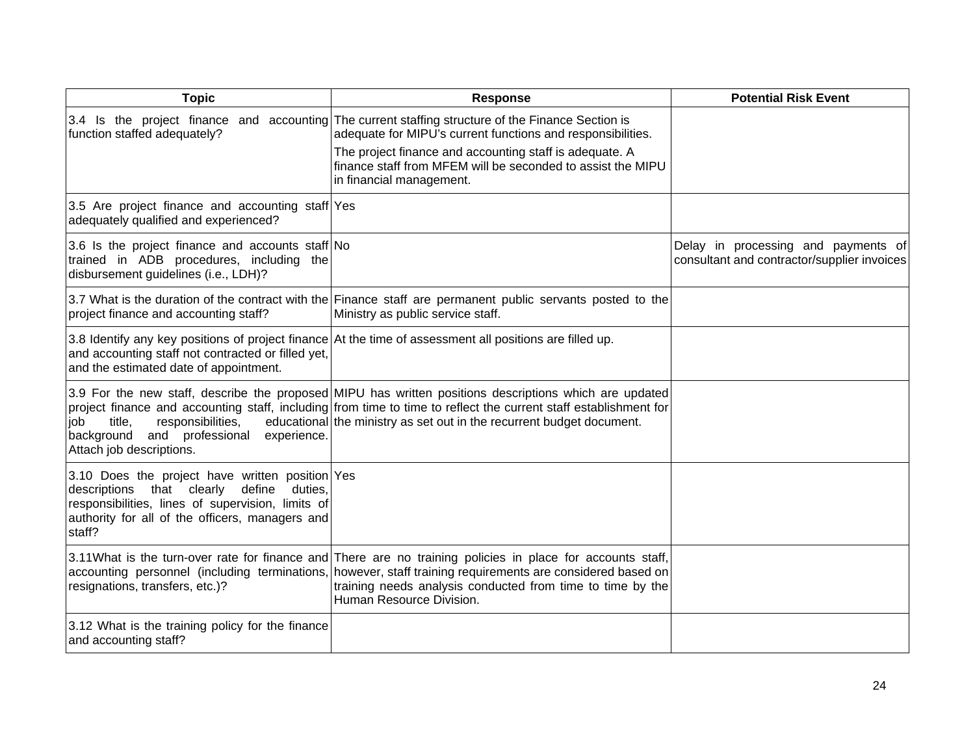| <b>Topic</b>                                                                                                                                                                                                           | <b>Response</b>                                                                                                                                                                                                                                                                                                         | <b>Potential Risk Event</b>                                                        |
|------------------------------------------------------------------------------------------------------------------------------------------------------------------------------------------------------------------------|-------------------------------------------------------------------------------------------------------------------------------------------------------------------------------------------------------------------------------------------------------------------------------------------------------------------------|------------------------------------------------------------------------------------|
| function staffed adequately?                                                                                                                                                                                           | 3.4 Is the project finance and accounting The current staffing structure of the Finance Section is<br>adequate for MIPU's current functions and responsibilities.<br>The project finance and accounting staff is adequate. A<br>finance staff from MFEM will be seconded to assist the MIPU<br>in financial management. |                                                                                    |
| 3.5 Are project finance and accounting staff Yes<br>adequately qualified and experienced?                                                                                                                              |                                                                                                                                                                                                                                                                                                                         |                                                                                    |
| 3.6 Is the project finance and accounts staff No<br>trained in ADB procedures, including the<br>disbursement guidelines (i.e., LDH)?                                                                                   |                                                                                                                                                                                                                                                                                                                         | Delay in processing and payments of<br>consultant and contractor/supplier invoices |
| project finance and accounting staff?                                                                                                                                                                                  | 3.7 What is the duration of the contract with the Finance staff are permanent public servants posted to the<br>Ministry as public service staff.                                                                                                                                                                        |                                                                                    |
| and accounting staff not contracted or filled yet,<br>and the estimated date of appointment.                                                                                                                           | 3.8 Identify any key positions of project finance At the time of assessment all positions are filled up.                                                                                                                                                                                                                |                                                                                    |
| responsibilities,<br>title,<br>iob<br>background and professional<br>experience.<br>Attach job descriptions.                                                                                                           | 3.9 For the new staff, describe the proposed MIPU has written positions descriptions which are updated<br>project finance and accounting staff, including from time to time to reflect the current staff establishment for<br>educational the ministry as set out in the recurrent budget document.                     |                                                                                    |
| 3.10 Does the project have written position Yes<br>descriptions<br>that clearly<br>define<br>duties,<br>responsibilities, lines of supervision, limits of<br>authority for all of the officers, managers and<br>staff? |                                                                                                                                                                                                                                                                                                                         |                                                                                    |
| resignations, transfers, etc.)?                                                                                                                                                                                        | 3.11What is the turn-over rate for finance and There are no training policies in place for accounts staff,<br>accounting personnel (including terminations, however, staff training requirements are considered based on<br>training needs analysis conducted from time to time by the<br>Human Resource Division.      |                                                                                    |
| 3.12 What is the training policy for the finance<br>and accounting staff?                                                                                                                                              |                                                                                                                                                                                                                                                                                                                         |                                                                                    |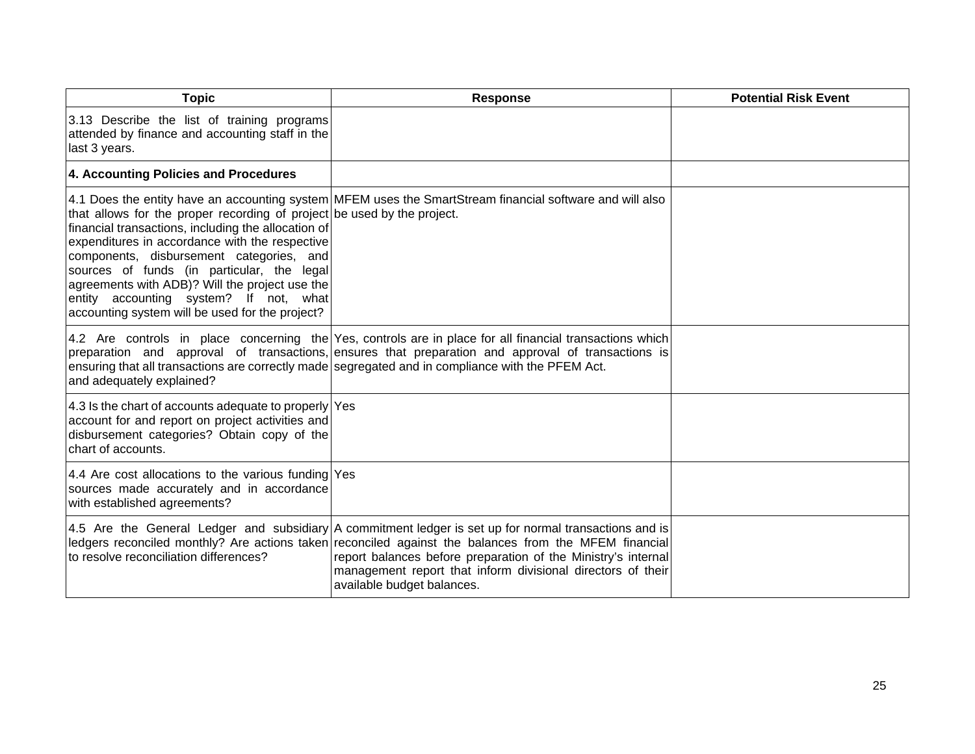| <b>Topic</b>                                                                                                                                                                                                                                                                                                                                                                                                              | <b>Response</b>                                                                                                                                                                                                                                                                                                                                                               | <b>Potential Risk Event</b> |
|---------------------------------------------------------------------------------------------------------------------------------------------------------------------------------------------------------------------------------------------------------------------------------------------------------------------------------------------------------------------------------------------------------------------------|-------------------------------------------------------------------------------------------------------------------------------------------------------------------------------------------------------------------------------------------------------------------------------------------------------------------------------------------------------------------------------|-----------------------------|
| 3.13 Describe the list of training programs<br>attended by finance and accounting staff in the<br>last 3 years.                                                                                                                                                                                                                                                                                                           |                                                                                                                                                                                                                                                                                                                                                                               |                             |
| 4. Accounting Policies and Procedures                                                                                                                                                                                                                                                                                                                                                                                     |                                                                                                                                                                                                                                                                                                                                                                               |                             |
| that allows for the proper recording of project be used by the project.<br>financial transactions, including the allocation of<br>expenditures in accordance with the respective<br>components, disbursement categories, and<br>sources of funds (in particular, the legal<br>agreements with ADB)? Will the project use the<br>entity accounting system? If not, what<br>accounting system will be used for the project? | 4.1 Does the entity have an accounting system MFEM uses the SmartStream financial software and will also                                                                                                                                                                                                                                                                      |                             |
| and adequately explained?                                                                                                                                                                                                                                                                                                                                                                                                 | 4.2 Are controls in place concerning the Yes, controls are in place for all financial transactions which<br>preparation and approval of transactions, ensures that preparation and approval of transactions is<br>ensuring that all transactions are correctly made segregated and in compliance with the PFEM Act.                                                           |                             |
| 4.3 Is the chart of accounts adequate to properly Yes<br>account for and report on project activities and<br>disbursement categories? Obtain copy of the<br>chart of accounts.                                                                                                                                                                                                                                            |                                                                                                                                                                                                                                                                                                                                                                               |                             |
| 4.4 Are cost allocations to the various funding Yes<br>sources made accurately and in accordance<br>with established agreements?                                                                                                                                                                                                                                                                                          |                                                                                                                                                                                                                                                                                                                                                                               |                             |
| to resolve reconciliation differences?                                                                                                                                                                                                                                                                                                                                                                                    | 4.5 Are the General Ledger and subsidiary A commitment ledger is set up for normal transactions and is<br>ledgers reconciled monthly? Are actions taken reconciled against the balances from the MFEM financial<br>report balances before preparation of the Ministry's internal<br>management report that inform divisional directors of their<br>available budget balances. |                             |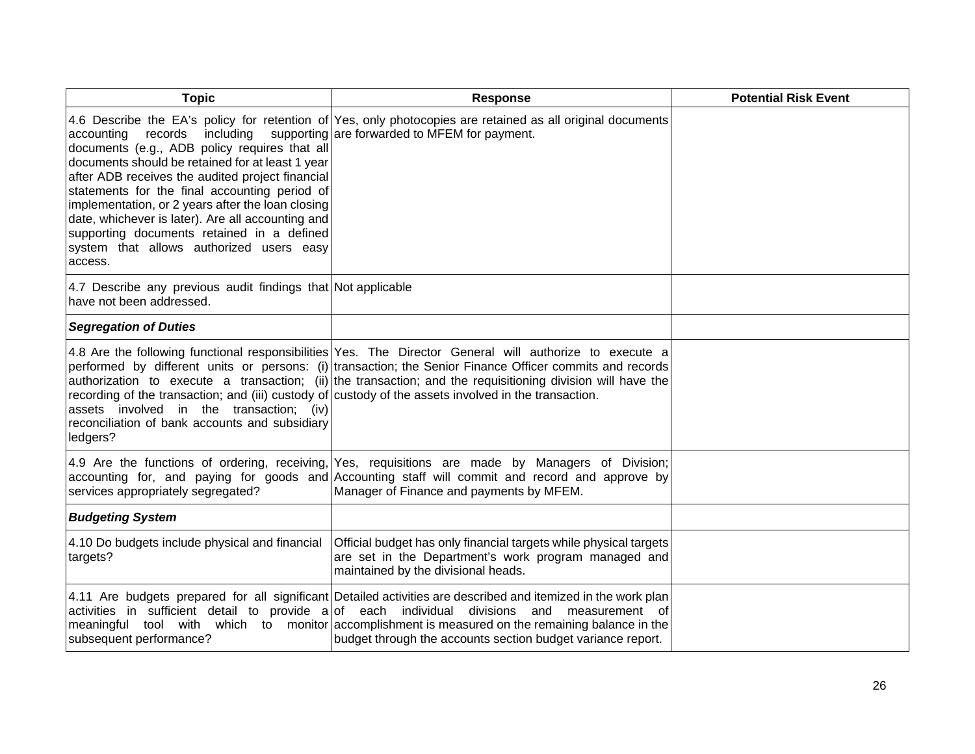| <b>Topic</b>                                                                                                                                                                                                                                                                                                                                                                                                                                                | <b>Response</b>                                                                                                                                                                                                                                                                                                                                                                                                                             | <b>Potential Risk Event</b> |
|-------------------------------------------------------------------------------------------------------------------------------------------------------------------------------------------------------------------------------------------------------------------------------------------------------------------------------------------------------------------------------------------------------------------------------------------------------------|---------------------------------------------------------------------------------------------------------------------------------------------------------------------------------------------------------------------------------------------------------------------------------------------------------------------------------------------------------------------------------------------------------------------------------------------|-----------------------------|
| records<br>including<br>accounting<br>documents (e.g., ADB policy requires that all<br>documents should be retained for at least 1 year<br>after ADB receives the audited project financial<br>statements for the final accounting period of<br>implementation, or 2 years after the loan closing<br>date, whichever is later). Are all accounting and<br>supporting documents retained in a defined<br>system that allows authorized users easy<br>access. | 4.6 Describe the EA's policy for retention of Yes, only photocopies are retained as all original documents<br>supporting are forwarded to MFEM for payment.                                                                                                                                                                                                                                                                                 |                             |
| 4.7 Describe any previous audit findings that Not applicable<br>have not been addressed.                                                                                                                                                                                                                                                                                                                                                                    |                                                                                                                                                                                                                                                                                                                                                                                                                                             |                             |
| <b>Segregation of Duties</b>                                                                                                                                                                                                                                                                                                                                                                                                                                |                                                                                                                                                                                                                                                                                                                                                                                                                                             |                             |
| assets involved in the transaction; (iv)<br>reconciliation of bank accounts and subsidiary<br>ledgers?                                                                                                                                                                                                                                                                                                                                                      | 4.8 Are the following functional responsibilities Yes. The Director General will authorize to execute a<br>performed by different units or persons: (i) transaction; the Senior Finance Officer commits and records<br>authorization to execute a transaction; (ii) the transaction; and the requisitioning division will have the<br>recording of the transaction; and (iii) custody of custody of the assets involved in the transaction. |                             |
| services appropriately segregated?                                                                                                                                                                                                                                                                                                                                                                                                                          | 4.9 Are the functions of ordering, receiving, Yes, requisitions are made by Managers of Division;<br>accounting for, and paying for goods and Accounting staff will commit and record and approve by<br>Manager of Finance and payments by MFEM.                                                                                                                                                                                            |                             |
| <b>Budgeting System</b>                                                                                                                                                                                                                                                                                                                                                                                                                                     |                                                                                                                                                                                                                                                                                                                                                                                                                                             |                             |
| 4.10 Do budgets include physical and financial<br>targets?                                                                                                                                                                                                                                                                                                                                                                                                  | Official budget has only financial targets while physical targets<br>are set in the Department's work program managed and<br>maintained by the divisional heads.                                                                                                                                                                                                                                                                            |                             |
| activities in sufficient detail to provide $a $ of each individual<br>subsequent performance?                                                                                                                                                                                                                                                                                                                                                               | 4.11 Are budgets prepared for all significant Detailed activities are described and itemized in the work plan<br>divisions and measurement of<br>meaningful tool with which to monitor accomplishment is measured on the remaining balance in the<br>budget through the accounts section budget variance report.                                                                                                                            |                             |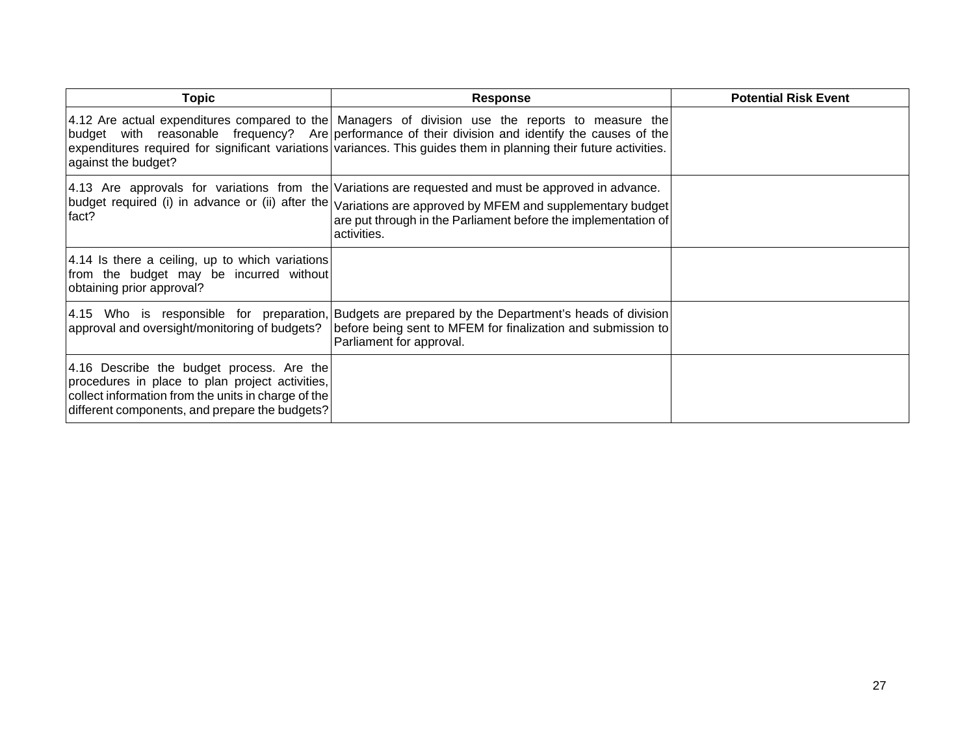| <b>Topic</b>                                                                                                                                                                                          | <b>Response</b>                                                                                                                                                                                                                                                                                                             | <b>Potential Risk Event</b> |
|-------------------------------------------------------------------------------------------------------------------------------------------------------------------------------------------------------|-----------------------------------------------------------------------------------------------------------------------------------------------------------------------------------------------------------------------------------------------------------------------------------------------------------------------------|-----------------------------|
| against the budget?                                                                                                                                                                                   | 4.12 Are actual expenditures compared to the Managers of division use the reports to measure the<br>budget with reasonable frequency? Are performance of their division and identify the causes of the<br>expenditures required for significant variations variances. This guides them in planning their future activities. |                             |
| fact?                                                                                                                                                                                                 | 4.13 Are approvals for variations from the Variations are requested and must be approved in advance.<br> budget required (i) in advance or (ii) after the $ $ Variations are approved by MFEM and supplementary budget<br>are put through in the Parliament before the implementation of<br>activities.                     |                             |
| 4.14 Is there a ceiling, up to which variations<br>from the budget may be incurred without<br>obtaining prior approval?                                                                               |                                                                                                                                                                                                                                                                                                                             |                             |
| approval and oversight/monitoring of budgets?                                                                                                                                                         | 4.15 Who is responsible for preparation, Budgets are prepared by the Department's heads of division<br>before being sent to MFEM for finalization and submission to<br>Parliament for approval.                                                                                                                             |                             |
| 4.16 Describe the budget process. Are the<br>procedures in place to plan project activities,<br>collect information from the units in charge of the<br>different components, and prepare the budgets? |                                                                                                                                                                                                                                                                                                                             |                             |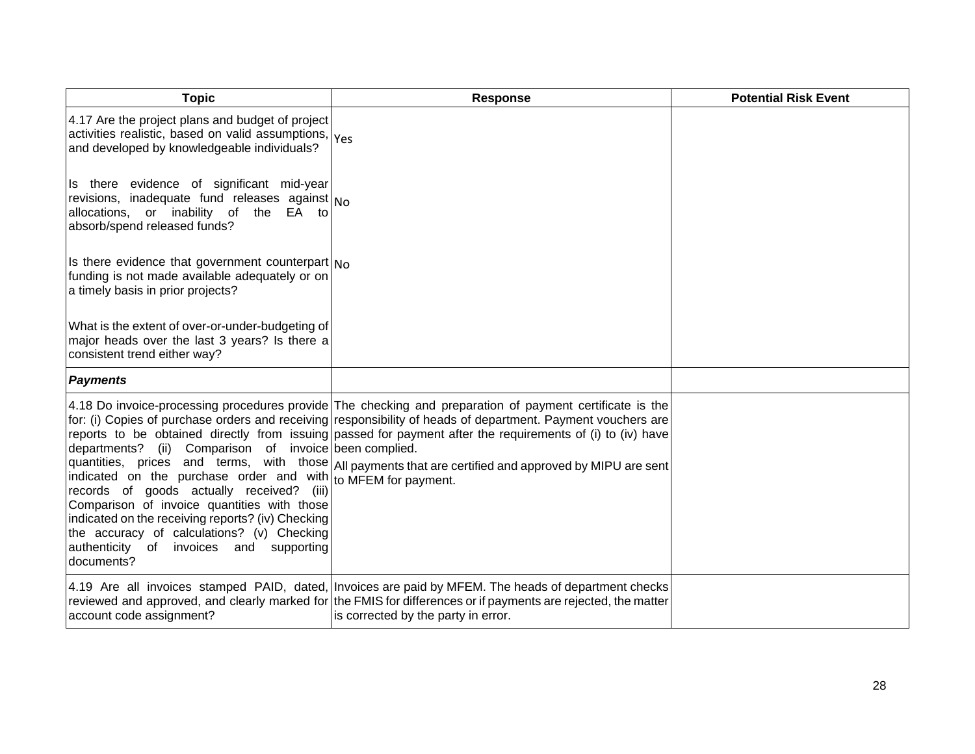| <b>Topic</b>                                                                                                                                                                                                                                                                                                                                                                    | <b>Response</b>                                                                                                                                                                                                                                                                                                                                                                                                                                  | <b>Potential Risk Event</b> |
|---------------------------------------------------------------------------------------------------------------------------------------------------------------------------------------------------------------------------------------------------------------------------------------------------------------------------------------------------------------------------------|--------------------------------------------------------------------------------------------------------------------------------------------------------------------------------------------------------------------------------------------------------------------------------------------------------------------------------------------------------------------------------------------------------------------------------------------------|-----------------------------|
| 4.17 Are the project plans and budget of project<br>activities realistic, based on valid assumptions, Yes<br>and developed by knowledgeable individuals?                                                                                                                                                                                                                        |                                                                                                                                                                                                                                                                                                                                                                                                                                                  |                             |
| Is there evidence of significant mid-year<br>revisions, inadequate fund releases against $N_0$<br>allocations, or inability of the EA to<br>absorb/spend released funds?                                                                                                                                                                                                        |                                                                                                                                                                                                                                                                                                                                                                                                                                                  |                             |
| Is there evidence that government counterpart $N0$<br>funding is not made available adequately or on<br>a timely basis in prior projects?                                                                                                                                                                                                                                       |                                                                                                                                                                                                                                                                                                                                                                                                                                                  |                             |
| What is the extent of over-or-under-budgeting of<br>major heads over the last 3 years? Is there a<br>consistent trend either way?                                                                                                                                                                                                                                               |                                                                                                                                                                                                                                                                                                                                                                                                                                                  |                             |
| <b>Payments</b>                                                                                                                                                                                                                                                                                                                                                                 |                                                                                                                                                                                                                                                                                                                                                                                                                                                  |                             |
| departments? (ii) Comparison of invoice been complied.<br>indicated on the purchase order and with to MFEM for payment.<br>records of goods actually received? (iii)<br>Comparison of invoice quantities with those<br>indicated on the receiving reports? (iv) Checking<br>the accuracy of calculations? (v) Checking<br>authenticity of invoices and supporting<br>documents? | 4.18 Do invoice-processing procedures provide The checking and preparation of payment certificate is the<br>for: (i) Copies of purchase orders and receiving responsibility of heads of department. Payment vouchers are<br>reports to be obtained directly from issuing passed for payment after the requirements of (i) to (iv) have<br>quantities, prices and terms, with those All payments that are certified and approved by MIPU are sent |                             |
| account code assignment?                                                                                                                                                                                                                                                                                                                                                        | 4.19 Are all invoices stamped PAID, dated, Invoices are paid by MFEM. The heads of department checks<br>reviewed and approved, and clearly marked for the FMIS for differences or if payments are rejected, the matter<br>is corrected by the party in error.                                                                                                                                                                                    |                             |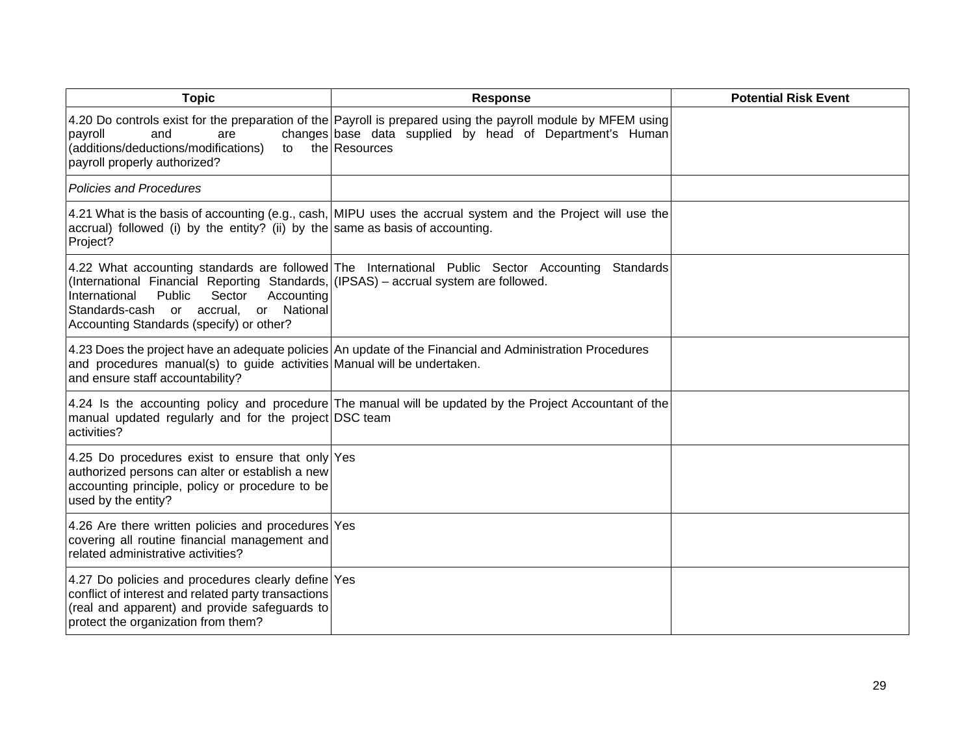| <b>Topic</b>                                                                                                                                                                                                                        | <b>Response</b>                                                                                                                                                                           | <b>Potential Risk Event</b> |
|-------------------------------------------------------------------------------------------------------------------------------------------------------------------------------------------------------------------------------------|-------------------------------------------------------------------------------------------------------------------------------------------------------------------------------------------|-----------------------------|
| and<br>payroll<br>are<br>(additions/deductions/modifications)<br>to<br>payroll properly authorized?                                                                                                                                 | 4.20 Do controls exist for the preparation of the Payroll is prepared using the payroll module by MFEM using<br>changes base data supplied by head of Department's Human<br>the Resources |                             |
| <b>Policies and Procedures</b>                                                                                                                                                                                                      |                                                                                                                                                                                           |                             |
| accrual) followed (i) by the entity? (ii) by the same as basis of accounting.<br>Project?                                                                                                                                           | 4.21 What is the basis of accounting (e.g., cash, MIPU uses the accrual system and the Project will use the                                                                               |                             |
| (International Financial Reporting Standards, (IPSAS) – accrual system are followed.<br>International<br>Public<br>Accounting<br>Sector<br>Standards-cash<br>or National<br>or accrual,<br>Accounting Standards (specify) or other? | 4.22 What accounting standards are followed The International Public Sector Accounting<br>Standards                                                                                       |                             |
| and procedures manual(s) to guide activities Manual will be undertaken.<br>and ensure staff accountability?                                                                                                                         | 4.23 Does the project have an adequate policies An update of the Financial and Administration Procedures                                                                                  |                             |
| manual updated regularly and for the project DSC team<br>activities?                                                                                                                                                                | 4.24 Is the accounting policy and procedure The manual will be updated by the Project Accountant of the                                                                                   |                             |
| 4.25 Do procedures exist to ensure that only Yes<br>authorized persons can alter or establish a new<br>accounting principle, policy or procedure to be<br>used by the entity?                                                       |                                                                                                                                                                                           |                             |
| 4.26 Are there written policies and procedures Yes<br>covering all routine financial management and<br>related administrative activities?                                                                                           |                                                                                                                                                                                           |                             |
| 4.27 Do policies and procedures clearly define Yes<br>conflict of interest and related party transactions<br>(real and apparent) and provide safeguards to<br>protect the organization from them?                                   |                                                                                                                                                                                           |                             |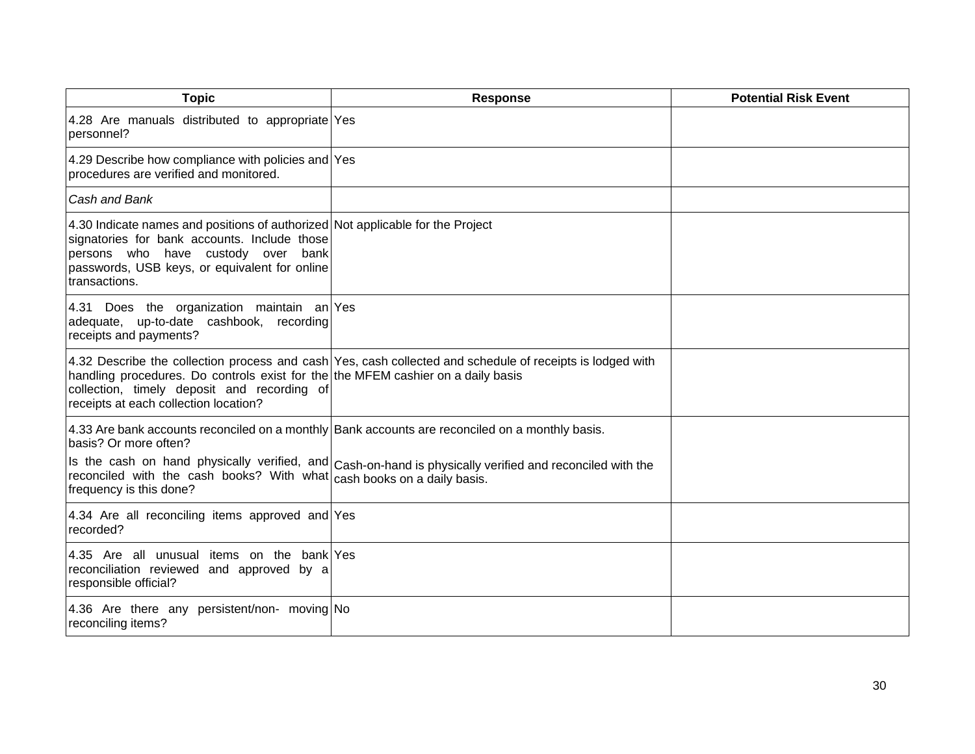| <b>Topic</b>                                                                                                                                                                                                                           | <b>Response</b>                                                                                                                          | <b>Potential Risk Event</b> |
|----------------------------------------------------------------------------------------------------------------------------------------------------------------------------------------------------------------------------------------|------------------------------------------------------------------------------------------------------------------------------------------|-----------------------------|
| 4.28 Are manuals distributed to appropriate Yes<br>personnel?                                                                                                                                                                          |                                                                                                                                          |                             |
| 4.29 Describe how compliance with policies and Yes<br>procedures are verified and monitored.                                                                                                                                           |                                                                                                                                          |                             |
| Cash and Bank                                                                                                                                                                                                                          |                                                                                                                                          |                             |
| 4.30 Indicate names and positions of authorized Not applicable for the Project<br>signatories for bank accounts. Include those<br>persons who have custody over bank<br>passwords, USB keys, or equivalent for online<br>transactions. |                                                                                                                                          |                             |
| 4.31 Does the organization maintain an Yes<br>adequate, up-to-date cashbook, recording<br>receipts and payments?                                                                                                                       |                                                                                                                                          |                             |
| handling procedures. Do controls exist for the the MFEM cashier on a daily basis<br>collection, timely deposit and recording of<br>receipts at each collection location?                                                               | 4.32 Describe the collection process and cash Yes, cash collected and schedule of receipts is lodged with                                |                             |
| basis? Or more often?                                                                                                                                                                                                                  | 4.33 Are bank accounts reconciled on a monthly Bank accounts are reconciled on a monthly basis.                                          |                             |
| reconciled with the cash books? With what<br>frequency is this done?                                                                                                                                                                   | Is the cash on hand physically verified, and Cash-on-hand is physically verified and reconciled with the<br>cash books on a daily basis. |                             |
| 4.34 Are all reconciling items approved and Yes<br>recorded?                                                                                                                                                                           |                                                                                                                                          |                             |
| 4.35 Are all unusual items on the bank Yes<br>reconciliation reviewed and approved by a<br>responsible official?                                                                                                                       |                                                                                                                                          |                             |
| 4.36 Are there any persistent/non- moving No<br>reconciling items?                                                                                                                                                                     |                                                                                                                                          |                             |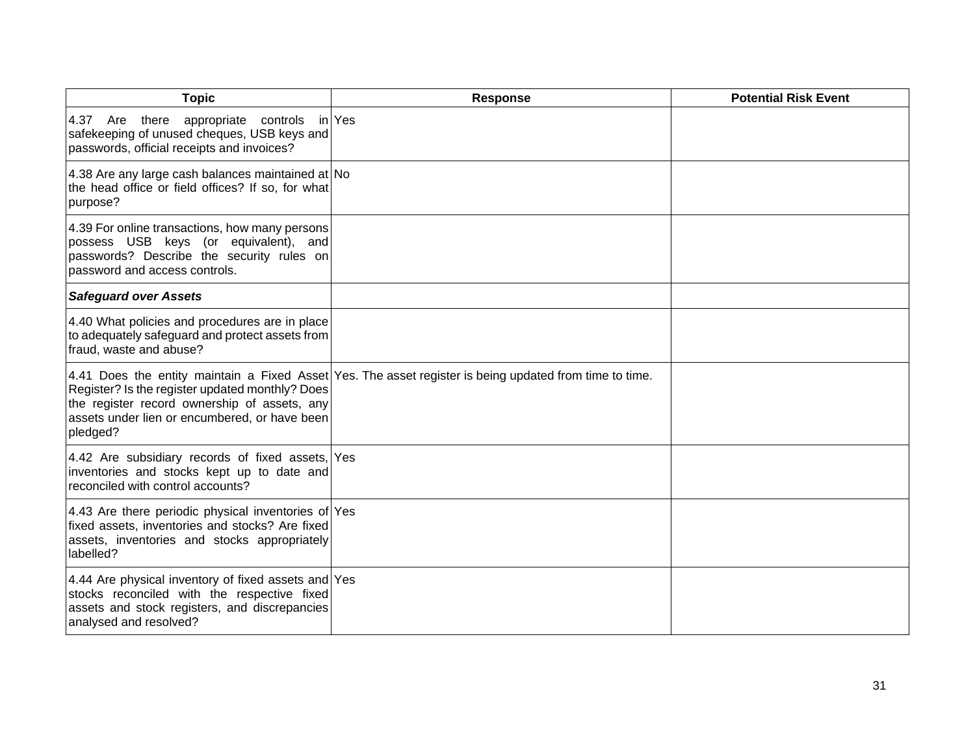| <b>Topic</b>                                                                                                                                                                  | <b>Response</b>                                                                                         | <b>Potential Risk Event</b> |
|-------------------------------------------------------------------------------------------------------------------------------------------------------------------------------|---------------------------------------------------------------------------------------------------------|-----------------------------|
| 4.37 Are there<br>appropriate controls<br>safekeeping of unused cheques, USB keys and<br>passwords, official receipts and invoices?                                           | in Yes                                                                                                  |                             |
| 4.38 Are any large cash balances maintained at No<br>the head office or field offices? If so, for what<br>purpose?                                                            |                                                                                                         |                             |
| 4.39 For online transactions, how many persons<br>possess USB keys (or equivalent), and<br>passwords? Describe the security rules on<br>password and access controls.         |                                                                                                         |                             |
| <b>Safeguard over Assets</b>                                                                                                                                                  |                                                                                                         |                             |
| 4.40 What policies and procedures are in place<br>to adequately safeguard and protect assets from<br>fraud, waste and abuse?                                                  |                                                                                                         |                             |
| Register? Is the register updated monthly? Does<br>the register record ownership of assets, any<br>assets under lien or encumbered, or have been<br>pledged?                  | 4.41 Does the entity maintain a Fixed Asset Yes. The asset register is being updated from time to time. |                             |
| 4.42 Are subsidiary records of fixed assets, Yes<br>inventories and stocks kept up to date and<br>reconciled with control accounts?                                           |                                                                                                         |                             |
| 4.43 Are there periodic physical inventories of Yes<br>fixed assets, inventories and stocks? Are fixed<br>assets, inventories and stocks appropriately<br>labelled?           |                                                                                                         |                             |
| 4.44 Are physical inventory of fixed assets and Yes<br>stocks reconciled with the respective fixed<br>assets and stock registers, and discrepancies<br>analysed and resolved? |                                                                                                         |                             |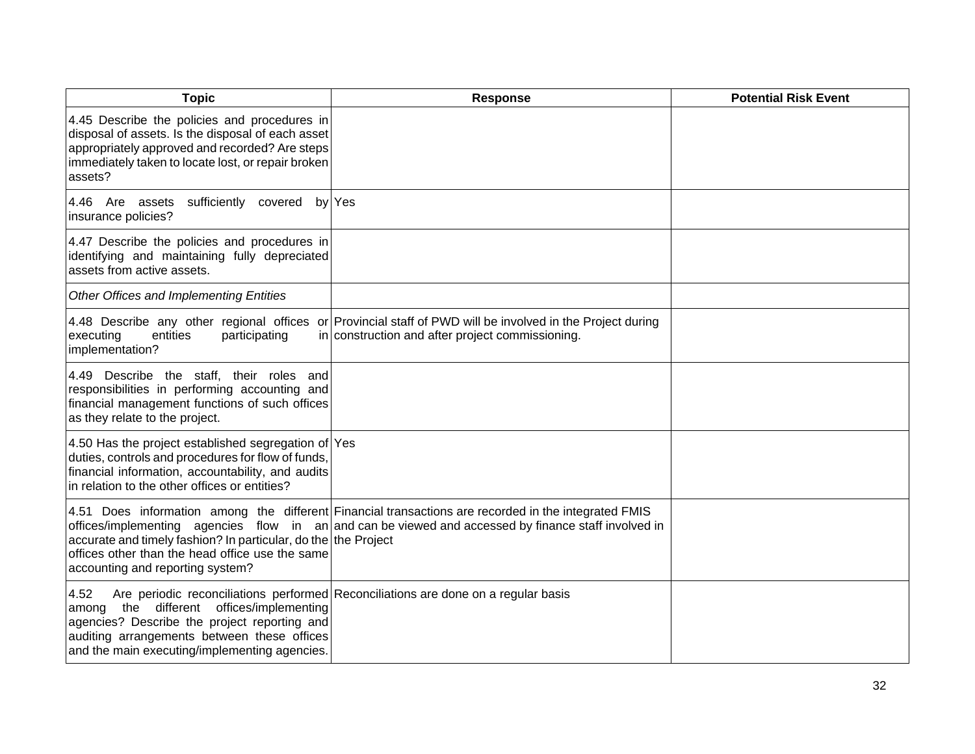| <b>Topic</b>                                                                                                                                                                                                         | <b>Response</b>                                                                                                                                                                                                 | <b>Potential Risk Event</b> |
|----------------------------------------------------------------------------------------------------------------------------------------------------------------------------------------------------------------------|-----------------------------------------------------------------------------------------------------------------------------------------------------------------------------------------------------------------|-----------------------------|
| 4.45 Describe the policies and procedures in<br>disposal of assets. Is the disposal of each asset<br>appropriately approved and recorded? Are steps<br>immediately taken to locate lost, or repair broken<br>assets? |                                                                                                                                                                                                                 |                             |
| 4.46 Are assets sufficiently covered by Yes<br>insurance policies?                                                                                                                                                   |                                                                                                                                                                                                                 |                             |
| 4.47 Describe the policies and procedures in<br>identifying and maintaining fully depreciated<br>assets from active assets.                                                                                          |                                                                                                                                                                                                                 |                             |
| Other Offices and Implementing Entities                                                                                                                                                                              |                                                                                                                                                                                                                 |                             |
| executing<br>entities<br>participating<br>implementation?                                                                                                                                                            | 4.48 Describe any other regional offices or Provincial staff of PWD will be involved in the Project during<br>in construction and after project commissioning.                                                  |                             |
| 4.49 Describe the staff, their roles and<br>responsibilities in performing accounting and<br>financial management functions of such offices<br>as they relate to the project.                                        |                                                                                                                                                                                                                 |                             |
| 4.50 Has the project established segregation of Yes<br>duties, controls and procedures for flow of funds,<br>financial information, accountability, and audits<br>in relation to the other offices or entities?      |                                                                                                                                                                                                                 |                             |
| accurate and timely fashion? In particular, do the the Project<br>offices other than the head office use the same<br>accounting and reporting system?                                                                | 4.51 Does information among the different Financial transactions are recorded in the integrated FMIS<br>offices/implementing agencies flow in $an $ and can be viewed and accessed by finance staff involved in |                             |
| 4.52<br>among the different offices/implementing<br>agencies? Describe the project reporting and<br>auditing arrangements between these offices<br>and the main executing/implementing agencies.                     | Are periodic reconciliations performed Reconciliations are done on a regular basis                                                                                                                              |                             |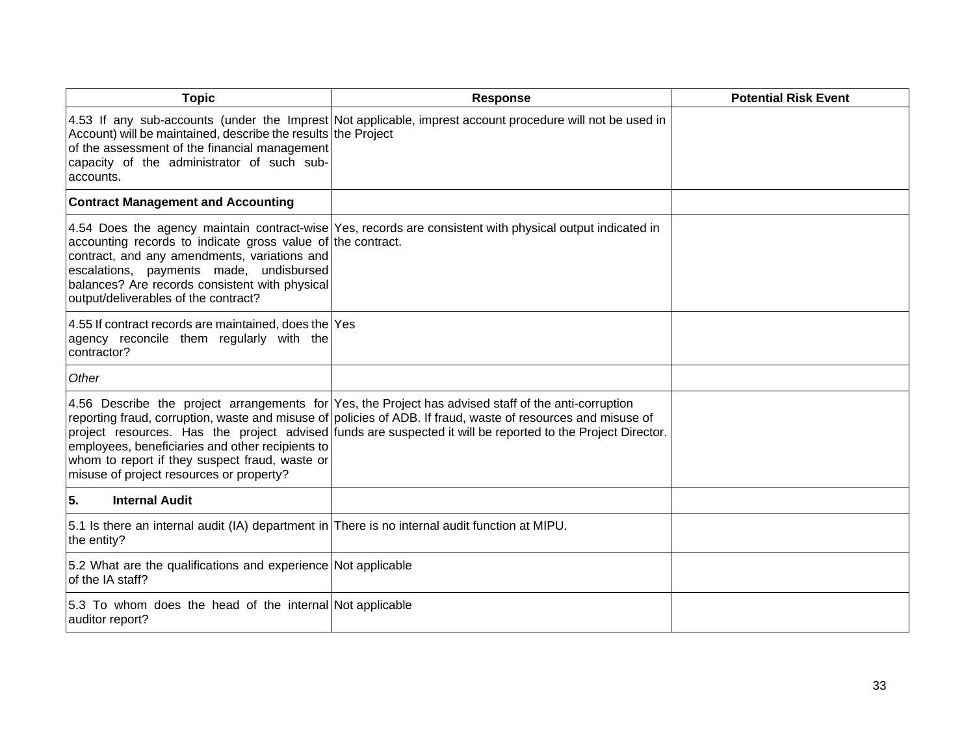| <b>Topic</b>                                                                                                                                                                                                                                     | <b>Response</b>                                                                                                                                                                                                                                                                                                                     | <b>Potential Risk Event</b> |
|--------------------------------------------------------------------------------------------------------------------------------------------------------------------------------------------------------------------------------------------------|-------------------------------------------------------------------------------------------------------------------------------------------------------------------------------------------------------------------------------------------------------------------------------------------------------------------------------------|-----------------------------|
| Account) will be maintained, describe the results the Project<br>of the assessment of the financial management<br>capacity of the administrator of such sub-<br>accounts.                                                                        | 4.53 If any sub-accounts (under the Imprest Not applicable, imprest account procedure will not be used in                                                                                                                                                                                                                           |                             |
| <b>Contract Management and Accounting</b>                                                                                                                                                                                                        |                                                                                                                                                                                                                                                                                                                                     |                             |
| accounting records to indicate gross value of the contract.<br>contract, and any amendments, variations and<br>escalations, payments made, undisbursed<br>balances? Are records consistent with physical<br>output/deliverables of the contract? | 4.54 Does the agency maintain contract-wise Yes, records are consistent with physical output indicated in                                                                                                                                                                                                                           |                             |
| 4.55 If contract records are maintained, does the Yes<br>agency reconcile them regularly with the<br>contractor?                                                                                                                                 |                                                                                                                                                                                                                                                                                                                                     |                             |
| Other                                                                                                                                                                                                                                            |                                                                                                                                                                                                                                                                                                                                     |                             |
| employees, beneficiaries and other recipients to<br>whom to report if they suspect fraud, waste or<br>misuse of project resources or property?                                                                                                   | 4.56 Describe the project arrangements for Yes, the Project has advised staff of the anti-corruption<br>reporting fraud, corruption, waste and misuse of policies of ADB. If fraud, waste of resources and misuse of<br>project resources. Has the project advised funds are suspected it will be reported to the Project Director. |                             |
| 5.<br><b>Internal Audit</b>                                                                                                                                                                                                                      |                                                                                                                                                                                                                                                                                                                                     |                             |
| 5.1 Is there an internal audit (IA) department in There is no internal audit function at MIPU.<br>the entity?                                                                                                                                    |                                                                                                                                                                                                                                                                                                                                     |                             |
| 5.2 What are the qualifications and experience Not applicable<br>of the IA staff?                                                                                                                                                                |                                                                                                                                                                                                                                                                                                                                     |                             |
| 5.3 To whom does the head of the internal Not applicable<br>auditor report?                                                                                                                                                                      |                                                                                                                                                                                                                                                                                                                                     |                             |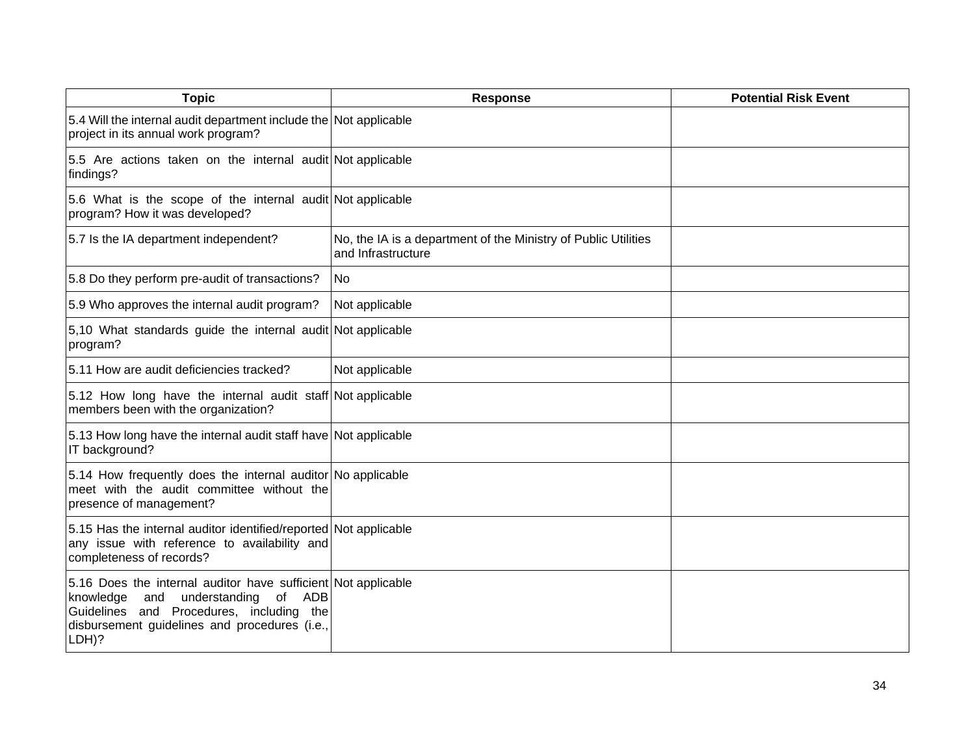| <b>Topic</b>                                                                                                                                                                                                       | <b>Response</b>                                                                      | <b>Potential Risk Event</b> |
|--------------------------------------------------------------------------------------------------------------------------------------------------------------------------------------------------------------------|--------------------------------------------------------------------------------------|-----------------------------|
| 5.4 Will the internal audit department include the Not applicable<br>project in its annual work program?                                                                                                           |                                                                                      |                             |
| 5.5 Are actions taken on the internal audit Not applicable<br>findings?                                                                                                                                            |                                                                                      |                             |
| 5.6 What is the scope of the internal audit Not applicable<br>program? How it was developed?                                                                                                                       |                                                                                      |                             |
| 5.7 Is the IA department independent?                                                                                                                                                                              | No, the IA is a department of the Ministry of Public Utilities<br>and Infrastructure |                             |
| 5.8 Do they perform pre-audit of transactions?                                                                                                                                                                     | No                                                                                   |                             |
| 5.9 Who approves the internal audit program?                                                                                                                                                                       | Not applicable                                                                       |                             |
| 5,10 What standards guide the internal audit Not applicable<br>program?                                                                                                                                            |                                                                                      |                             |
| 5.11 How are audit deficiencies tracked?                                                                                                                                                                           | Not applicable                                                                       |                             |
| 5.12 How long have the internal audit staff Not applicable<br>members been with the organization?                                                                                                                  |                                                                                      |                             |
| 5.13 How long have the internal audit staff have Not applicable<br>IT background?                                                                                                                                  |                                                                                      |                             |
| 5.14 How frequently does the internal auditor No applicable<br>meet with the audit committee without the<br>presence of management?                                                                                |                                                                                      |                             |
| 5.15 Has the internal auditor identified/reported Not applicable<br>any issue with reference to availability and<br>completeness of records?                                                                       |                                                                                      |                             |
| 5.16 Does the internal auditor have sufficient Not applicable<br>knowledge<br>and<br>understanding of<br>ADB<br>Guidelines and Procedures, including the<br>disbursement guidelines and procedures (i.e.,<br>LDH)? |                                                                                      |                             |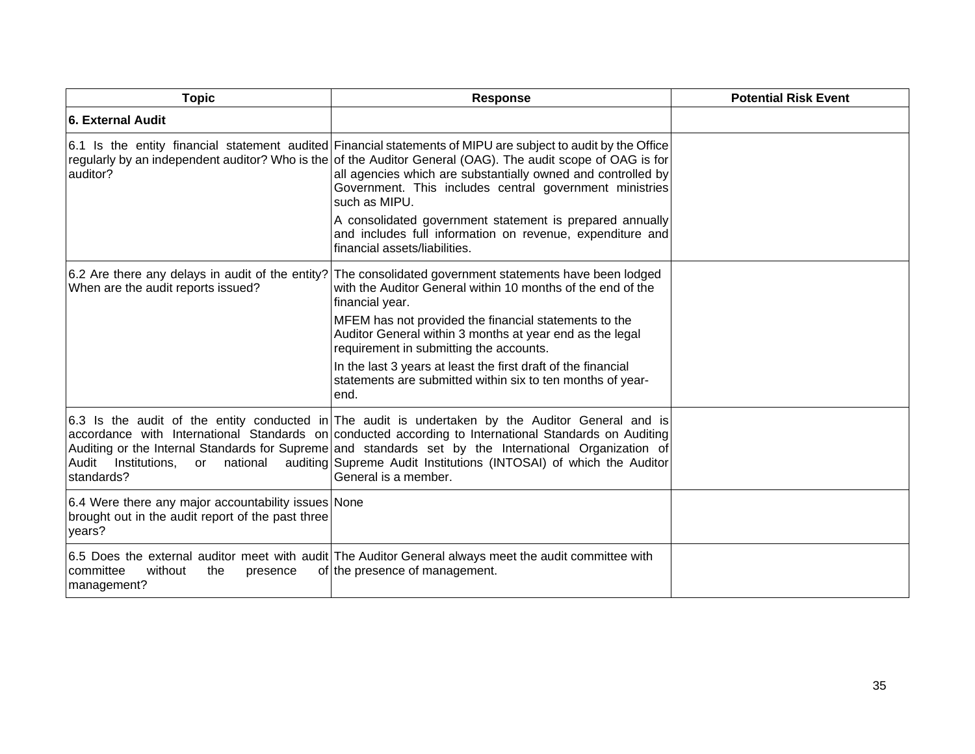| <b>Topic</b>                                                                                                       | <b>Response</b>                                                                                                                                                                                                                                                                                                                                                                                                                                                                                                                    | <b>Potential Risk Event</b> |
|--------------------------------------------------------------------------------------------------------------------|------------------------------------------------------------------------------------------------------------------------------------------------------------------------------------------------------------------------------------------------------------------------------------------------------------------------------------------------------------------------------------------------------------------------------------------------------------------------------------------------------------------------------------|-----------------------------|
| <b>6. External Audit</b>                                                                                           |                                                                                                                                                                                                                                                                                                                                                                                                                                                                                                                                    |                             |
| auditor?                                                                                                           | 6.1 Is the entity financial statement audited Financial statements of MIPU are subject to audit by the Office<br>regularly by an independent auditor? Who is the of the Auditor General (OAG). The audit scope of OAG is for<br>all agencies which are substantially owned and controlled by<br>Government. This includes central government ministries<br>such as MIPU.<br>A consolidated government statement is prepared annually<br>and includes full information on revenue, expenditure and<br>financial assets/liabilities. |                             |
| 6.2 Are there any delays in audit of the entity?<br>When are the audit reports issued?                             | The consolidated government statements have been lodged<br>with the Auditor General within 10 months of the end of the<br>financial year.<br>MFEM has not provided the financial statements to the<br>Auditor General within 3 months at year end as the legal<br>requirement in submitting the accounts.<br>In the last 3 years at least the first draft of the financial<br>statements are submitted within six to ten months of year-<br>end.                                                                                   |                             |
| Institutions, or<br>national<br>Audit<br>standards?                                                                | 6.3 Is the audit of the entity conducted in The audit is undertaken by the Auditor General and is<br>accordance with International Standards on conducted according to International Standards on Auditing<br>Auditing or the Internal Standards for Supreme and standards set by the International Organization of<br>auditing Supreme Audit Institutions (INTOSAI) of which the Auditor<br>General is a member.                                                                                                                  |                             |
| 6.4 Were there any major accountability issues None<br>brought out in the audit report of the past three<br>years? |                                                                                                                                                                                                                                                                                                                                                                                                                                                                                                                                    |                             |
| committee<br>without<br>the<br>presence<br>management?                                                             | 6.5 Does the external auditor meet with audit The Auditor General always meet the audit committee with<br>of the presence of management.                                                                                                                                                                                                                                                                                                                                                                                           |                             |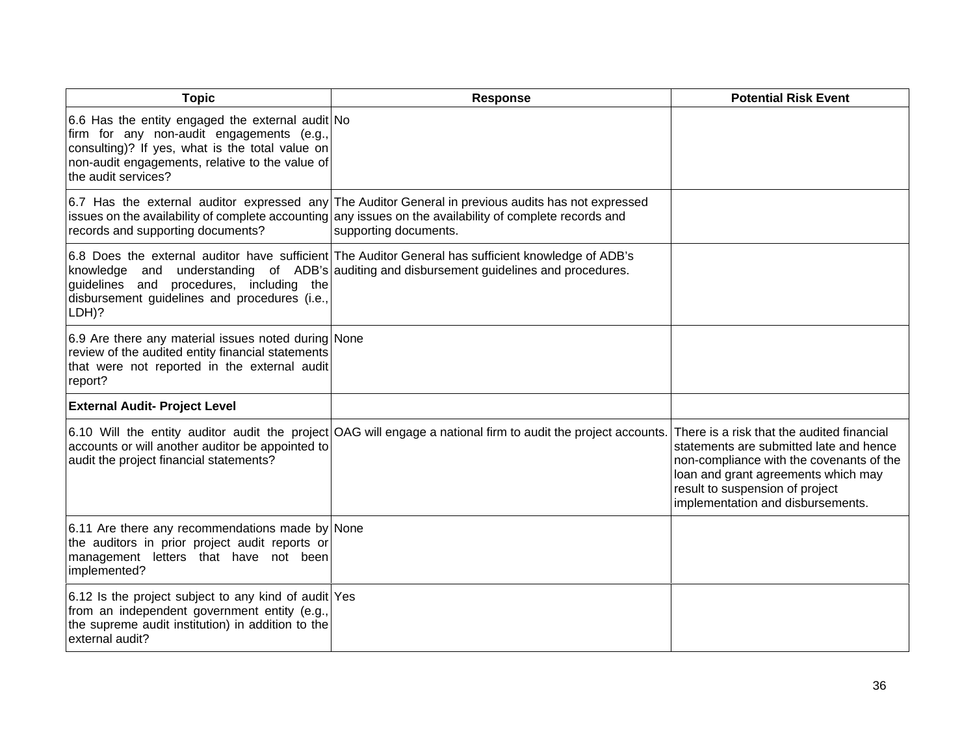| <b>Topic</b>                                                                                                                                                                                                               | <b>Response</b>                                                                                                                                                                                                                          | <b>Potential Risk Event</b>                                                                                                                                                                                                                      |
|----------------------------------------------------------------------------------------------------------------------------------------------------------------------------------------------------------------------------|------------------------------------------------------------------------------------------------------------------------------------------------------------------------------------------------------------------------------------------|--------------------------------------------------------------------------------------------------------------------------------------------------------------------------------------------------------------------------------------------------|
| 6.6 Has the entity engaged the external audit No<br>firm for any non-audit engagements (e.g.,<br>consulting)? If yes, what is the total value on<br>non-audit engagements, relative to the value of<br>the audit services? |                                                                                                                                                                                                                                          |                                                                                                                                                                                                                                                  |
| records and supporting documents?                                                                                                                                                                                          | 6.7 Has the external auditor expressed any The Auditor General in previous audits has not expressed<br>issues on the availability of complete accounting any issues on the availability of complete records and<br>supporting documents. |                                                                                                                                                                                                                                                  |
| guidelines and procedures, including the<br>disbursement guidelines and procedures (i.e.,<br>LDH)?                                                                                                                         | 6.8 Does the external auditor have sufficient The Auditor General has sufficient knowledge of ADB's<br>knowledge and understanding of ADB's auditing and disbursement guidelines and procedures.                                         |                                                                                                                                                                                                                                                  |
| 6.9 Are there any material issues noted during None<br>review of the audited entity financial statements<br>that were not reported in the external audit<br>report?                                                        |                                                                                                                                                                                                                                          |                                                                                                                                                                                                                                                  |
| <b>External Audit- Project Level</b>                                                                                                                                                                                       |                                                                                                                                                                                                                                          |                                                                                                                                                                                                                                                  |
| accounts or will another auditor be appointed to<br>audit the project financial statements?                                                                                                                                | 6.10 Will the entity auditor audit the project OAG will engage a national firm to audit the project accounts.                                                                                                                            | There is a risk that the audited financial<br>statements are submitted late and hence<br>non-compliance with the covenants of the<br>loan and grant agreements which may<br>result to suspension of project<br>implementation and disbursements. |
| 6.11 Are there any recommendations made by None<br>the auditors in prior project audit reports or<br>management letters that have not been<br>implemented?                                                                 |                                                                                                                                                                                                                                          |                                                                                                                                                                                                                                                  |
| 6.12 Is the project subject to any kind of audit Yes<br>from an independent government entity (e.g.,<br>the supreme audit institution) in addition to the<br>external audit?                                               |                                                                                                                                                                                                                                          |                                                                                                                                                                                                                                                  |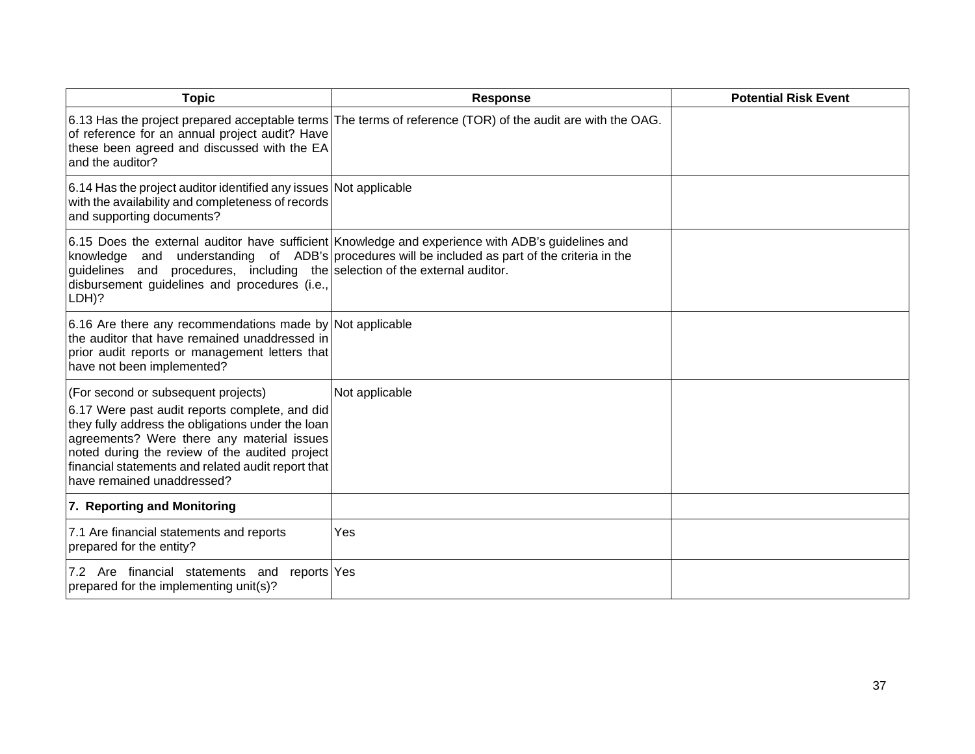| <b>Topic</b>                                                                                                                                                                                                                                                                                                                   | <b>Response</b>                                                                                                                                                                                      | <b>Potential Risk Event</b> |
|--------------------------------------------------------------------------------------------------------------------------------------------------------------------------------------------------------------------------------------------------------------------------------------------------------------------------------|------------------------------------------------------------------------------------------------------------------------------------------------------------------------------------------------------|-----------------------------|
| of reference for an annual project audit? Have<br>these been agreed and discussed with the EA<br>and the auditor?                                                                                                                                                                                                              | 6.13 Has the project prepared acceptable terms The terms of reference (TOR) of the audit are with the OAG.                                                                                           |                             |
| 6.14 Has the project auditor identified any issues Not applicable<br>with the availability and completeness of records<br>and supporting documents?                                                                                                                                                                            |                                                                                                                                                                                                      |                             |
| guidelines and procedures, including the selection of the external auditor.<br>disbursement guidelines and procedures (i.e.,<br>LDH)?                                                                                                                                                                                          | 6.15 Does the external auditor have sufficient Knowledge and experience with ADB's guidelines and<br>knowledge and understanding of ADB's procedures will be included as part of the criteria in the |                             |
| 6.16 Are there any recommendations made by Not applicable<br>the auditor that have remained unaddressed in<br>prior audit reports or management letters that<br>have not been implemented?                                                                                                                                     |                                                                                                                                                                                                      |                             |
| (For second or subsequent projects)<br>6.17 Were past audit reports complete, and did<br>they fully address the obligations under the loan<br>agreements? Were there any material issues<br>noted during the review of the audited project<br>financial statements and related audit report that<br>have remained unaddressed? | Not applicable                                                                                                                                                                                       |                             |
| 7. Reporting and Monitoring                                                                                                                                                                                                                                                                                                    |                                                                                                                                                                                                      |                             |
| 7.1 Are financial statements and reports<br>prepared for the entity?                                                                                                                                                                                                                                                           | Yes                                                                                                                                                                                                  |                             |
| 7.2 Are financial statements and reports Yes<br>prepared for the implementing unit(s)?                                                                                                                                                                                                                                         |                                                                                                                                                                                                      |                             |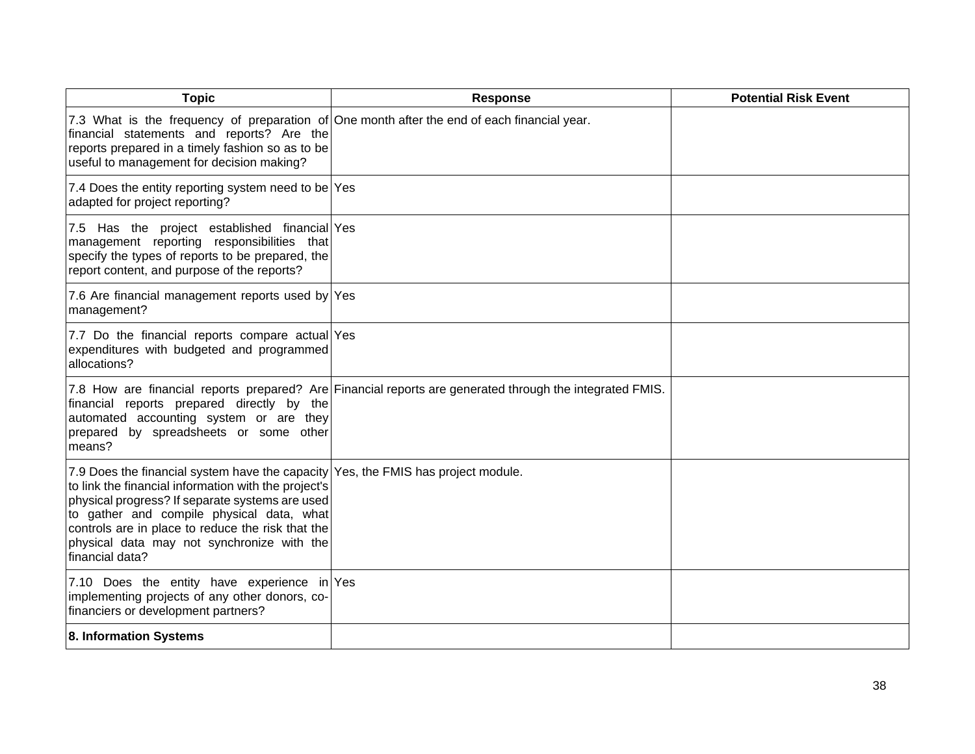| <b>Topic</b>                                                                                                                                                                                                                                                                                                                                                    | <b>Response</b>                                                                                          | <b>Potential Risk Event</b> |
|-----------------------------------------------------------------------------------------------------------------------------------------------------------------------------------------------------------------------------------------------------------------------------------------------------------------------------------------------------------------|----------------------------------------------------------------------------------------------------------|-----------------------------|
| 7.3 What is the frequency of preparation of One month after the end of each financial year.<br>financial statements and reports? Are the<br>reports prepared in a timely fashion so as to be<br>useful to management for decision making?                                                                                                                       |                                                                                                          |                             |
| 7.4 Does the entity reporting system need to be Yes<br>adapted for project reporting?                                                                                                                                                                                                                                                                           |                                                                                                          |                             |
| 7.5 Has the project established financial Yes<br>management reporting responsibilities that<br>specify the types of reports to be prepared, the<br>report content, and purpose of the reports?                                                                                                                                                                  |                                                                                                          |                             |
| 7.6 Are financial management reports used by Yes<br>management?                                                                                                                                                                                                                                                                                                 |                                                                                                          |                             |
| 7.7 Do the financial reports compare actual Yes<br>expenditures with budgeted and programmed<br>allocations?                                                                                                                                                                                                                                                    |                                                                                                          |                             |
| financial reports prepared directly by the<br>automated accounting system or are they<br>prepared by spreadsheets or some other<br>means?                                                                                                                                                                                                                       | 7.8 How are financial reports prepared? Are Financial reports are generated through the integrated FMIS. |                             |
| 7.9 Does the financial system have the capacity Yes, the FMIS has project module.<br>to link the financial information with the project's<br>physical progress? If separate systems are used<br>to gather and compile physical data, what<br>controls are in place to reduce the risk that the<br>physical data may not synchronize with the<br>financial data? |                                                                                                          |                             |
| 7.10 Does the entity have experience in Yes<br>implementing projects of any other donors, co-<br>financiers or development partners?                                                                                                                                                                                                                            |                                                                                                          |                             |
| 8. Information Systems                                                                                                                                                                                                                                                                                                                                          |                                                                                                          |                             |